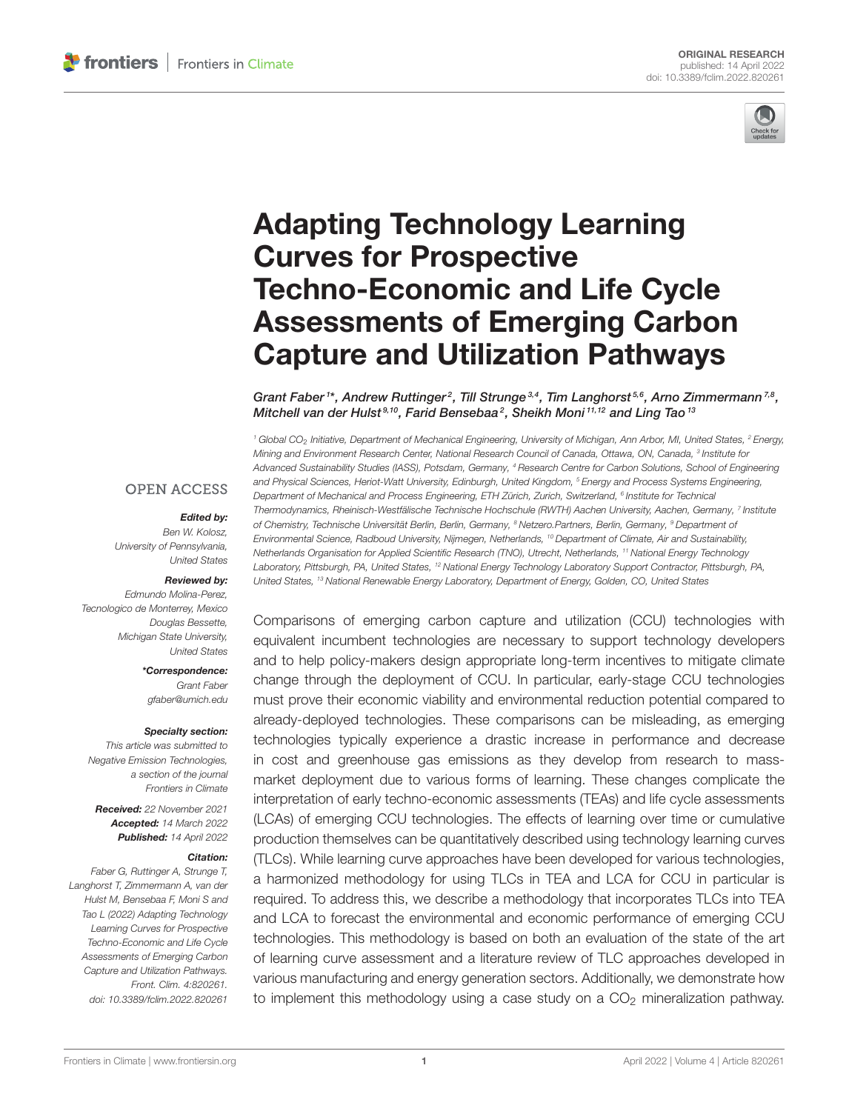

# Adapting Technology Learning Curves for Prospective Techno-Economic and Life Cycle [Assessments of Emerging Carbon](https://www.frontiersin.org/articles/10.3389/fclim.2022.820261/full) Capture and Utilization Pathways

Grant Faber 1\*, Andrew Ruttinger<sup>2</sup>, Till Strunge<sup>3,4</sup>, Tim Langhorst 5,6, Arno Zimmermann<sup>7,8</sup>, Mitchell van der Hulst<sup>s,10</sup>, Farid Bensebaa<sup>2</sup>, Sheikh Moni<sup>11,12</sup> and Ling Tao<sup>13</sup>

<sup>1</sup> Global CO<sub>2</sub> Initiative, Department of Mechanical Engineering, University of Michigan, Ann Arbor, MI, United States, <sup>2</sup> Energy, Mining and Environment Research Center, National Research Council of Canada, Ottawa, ON, Canada, <sup>3</sup> Institute for Advanced Sustainability Studies (IASS), Potsdam, Germany, <sup>4</sup> Research Centre for Carbon Solutions, School of Engineering and Physical Sciences, Heriot-Watt University, Edinburgh, United Kingdom, <sup>5</sup> Energy and Process Systems Engineering, Department of Mechanical and Process Engineering, ETH Zürich, Zurich, Switzerland, <sup>6</sup> Institute for Technical Thermodynamics, Rheinisch-Westfälische Technische Hochschule (RWTH) Aachen University, Aachen, Germany, <sup>7</sup> Institute of Chemistry, Technische Universität Berlin, Berlin, Germany, <sup>8</sup> Netzero.Partners, Berlin, Germany, <sup>9</sup> Department of Environmental Science, Radboud University, Nijmegen, Netherlands, <sup>10</sup> Department of Climate, Air and Sustainability, Netherlands Organisation for Applied Scientific Research (TNO), Utrecht, Netherlands, <sup>11</sup> National Energy Technology Laboratory, Pittsburgh, PA, United States, <sup>12</sup> National Energy Technology Laboratory Support Contractor, Pittsburgh, PA, United States, <sup>13</sup> National Renewable Energy Laboratory, Department of Energy, Golden, CO, United States

Comparisons of emerging carbon capture and utilization (CCU) technologies with equivalent incumbent technologies are necessary to support technology developers and to help policy-makers design appropriate long-term incentives to mitigate climate change through the deployment of CCU. In particular, early-stage CCU technologies must prove their economic viability and environmental reduction potential compared to already-deployed technologies. These comparisons can be misleading, as emerging technologies typically experience a drastic increase in performance and decrease in cost and greenhouse gas emissions as they develop from research to massmarket deployment due to various forms of learning. These changes complicate the interpretation of early techno-economic assessments (TEAs) and life cycle assessments (LCAs) of emerging CCU technologies. The effects of learning over time or cumulative production themselves can be quantitatively described using technology learning curves (TLCs). While learning curve approaches have been developed for various technologies, a harmonized methodology for using TLCs in TEA and LCA for CCU in particular is required. To address this, we describe a methodology that incorporates TLCs into TEA and LCA to forecast the environmental and economic performance of emerging CCU technologies. This methodology is based on both an evaluation of the state of the art of learning curve assessment and a literature review of TLC approaches developed in various manufacturing and energy generation sectors. Additionally, we demonstrate how to implement this methodology using a case study on a  $CO<sub>2</sub>$  mineralization pathway.

#### **OPEN ACCESS**

#### Edited by:

Ben W. Kolosz, University of Pennsylvania, United States

#### Reviewed by:

Edmundo Molina-Perez, Tecnologico de Monterrey, Mexico Douglas Bessette, Michigan State University, United States

> \*Correspondence: Grant Faber [gfaber@umich.edu](mailto:gfaber@umich.edu)

#### Specialty section:

This article was submitted to Negative Emission Technologies, a section of the journal Frontiers in Climate

Received: 22 November 2021 Accepted: 14 March 2022 Published: 14 April 2022

#### Citation:

Faber G, Ruttinger A, Strunge T, Langhorst T, Zimmermann A, van der Hulst M, Bensebaa F, Moni S and Tao L (2022) Adapting Technology Learning Curves for Prospective Techno-Economic and Life Cycle Assessments of Emerging Carbon Capture and Utilization Pathways. Front. Clim. 4:820261. doi: [10.3389/fclim.2022.820261](https://doi.org/10.3389/fclim.2022.820261)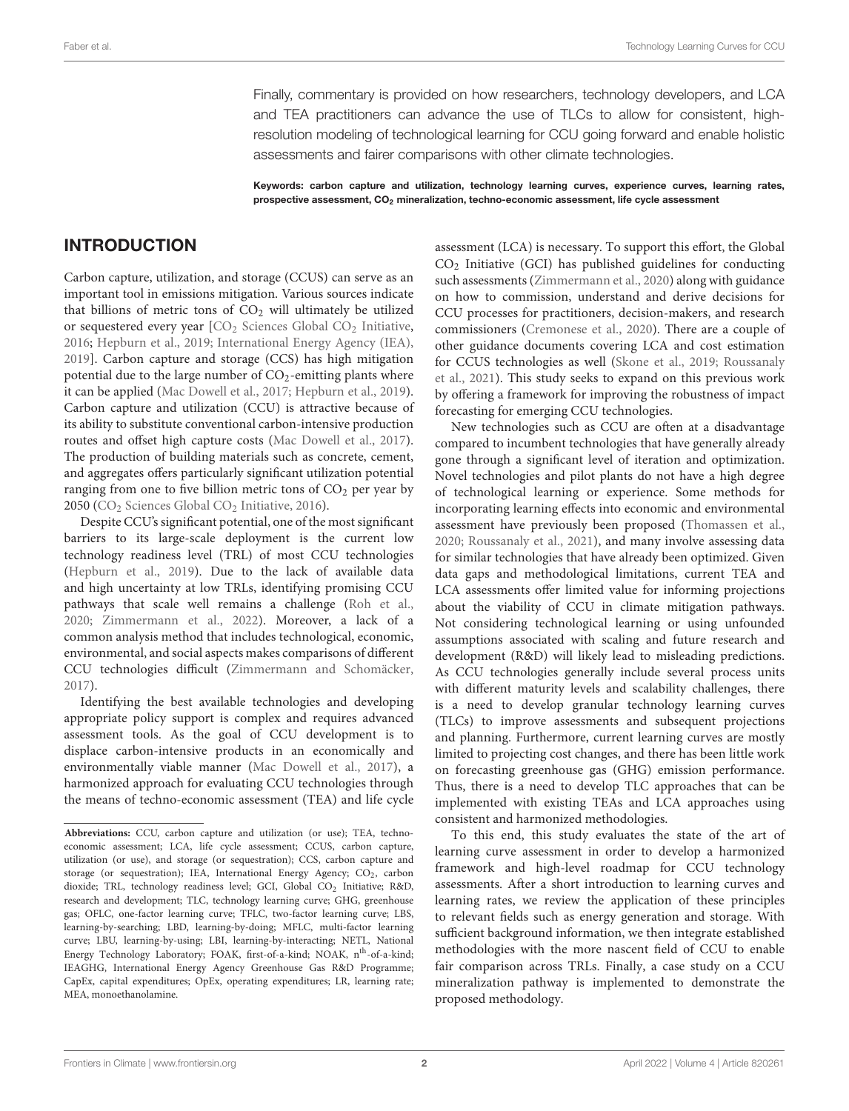Finally, commentary is provided on how researchers, technology developers, and LCA and TEA practitioners can advance the use of TLCs to allow for consistent, highresolution modeling of technological learning for CCU going forward and enable holistic assessments and fairer comparisons with other climate technologies.

Keywords: carbon capture and utilization, technology learning curves, experience curves, learning rates, prospective assessment, CO<sub>2</sub> mineralization, techno-economic assessment, life cycle assessment

## INTRODUCTION

Carbon capture, utilization, and storage (CCUS) can serve as an important tool in emissions mitigation. Various sources indicate that billions of metric tons of  $CO<sub>2</sub>$  will ultimately be utilized or sequestered every year  $\text{[CO}_2$  [Sciences Global CO](#page-11-0)<sub>2</sub> Initiative, [2016;](#page-11-0) [Hepburn et al., 2019;](#page-11-1) [International Energy Agency \(IEA\),](#page-11-2) [2019\]](#page-11-2). Carbon capture and storage (CCS) has high mitigation potential due to the large number of  $CO_2$ -emitting plants where it can be applied [\(Mac Dowell et al., 2017;](#page-12-0) [Hepburn et al., 2019\)](#page-11-1). Carbon capture and utilization (CCU) is attractive because of its ability to substitute conventional carbon-intensive production routes and offset high capture costs [\(Mac Dowell et al., 2017\)](#page-12-0). The production of building materials such as concrete, cement, and aggregates offers particularly significant utilization potential ranging from one to five billion metric tons of  $CO<sub>2</sub>$  per year by 2050 (CO<sup>2</sup> [Sciences Global CO](#page-11-0)<sup>2</sup> Initiative, [2016\)](#page-11-0).

Despite CCU's significant potential, one of the most significant barriers to its large-scale deployment is the current low technology readiness level (TRL) of most CCU technologies [\(Hepburn et al., 2019\)](#page-11-1). Due to the lack of available data and high uncertainty at low TRLs, identifying promising CCU pathways that scale well remains a challenge [\(Roh et al.,](#page-12-1) [2020;](#page-12-1) [Zimmermann et al., 2022\)](#page-12-2). Moreover, a lack of a common analysis method that includes technological, economic, environmental, and social aspects makes comparisons of different CCU technologies difficult [\(Zimmermann and Schomäcker,](#page-12-3) [2017\)](#page-12-3).

Identifying the best available technologies and developing appropriate policy support is complex and requires advanced assessment tools. As the goal of CCU development is to displace carbon-intensive products in an economically and environmentally viable manner [\(Mac Dowell et al., 2017\)](#page-12-0), a harmonized approach for evaluating CCU technologies through the means of techno-economic assessment (TEA) and life cycle assessment (LCA) is necessary. To support this effort, the Global  $CO<sub>2</sub>$  Initiative (GCI) has published guidelines for conducting such assessments [\(Zimmermann et al., 2020\)](#page-12-4) along with guidance on how to commission, understand and derive decisions for CCU processes for practitioners, decision-makers, and research commissioners [\(Cremonese et al., 2020\)](#page-11-3). There are a couple of other guidance documents covering LCA and cost estimation for CCUS technologies as well [\(Skone et al., 2019;](#page-12-5) Roussanaly et al., [2021\)](#page-12-6). This study seeks to expand on this previous work by offering a framework for improving the robustness of impact forecasting for emerging CCU technologies.

New technologies such as CCU are often at a disadvantage compared to incumbent technologies that have generally already gone through a significant level of iteration and optimization. Novel technologies and pilot plants do not have a high degree of technological learning or experience. Some methods for incorporating learning effects into economic and environmental assessment have previously been proposed [\(Thomassen et al.,](#page-12-7) [2020;](#page-12-7) [Roussanaly et al., 2021\)](#page-12-6), and many involve assessing data for similar technologies that have already been optimized. Given data gaps and methodological limitations, current TEA and LCA assessments offer limited value for informing projections about the viability of CCU in climate mitigation pathways. Not considering technological learning or using unfounded assumptions associated with scaling and future research and development (R&D) will likely lead to misleading predictions. As CCU technologies generally include several process units with different maturity levels and scalability challenges, there is a need to develop granular technology learning curves (TLCs) to improve assessments and subsequent projections and planning. Furthermore, current learning curves are mostly limited to projecting cost changes, and there has been little work on forecasting greenhouse gas (GHG) emission performance. Thus, there is a need to develop TLC approaches that can be implemented with existing TEAs and LCA approaches using consistent and harmonized methodologies.

To this end, this study evaluates the state of the art of learning curve assessment in order to develop a harmonized framework and high-level roadmap for CCU technology assessments. After a short introduction to learning curves and learning rates, we review the application of these principles to relevant fields such as energy generation and storage. With sufficient background information, we then integrate established methodologies with the more nascent field of CCU to enable fair comparison across TRLs. Finally, a case study on a CCU mineralization pathway is implemented to demonstrate the proposed methodology.

**Abbreviations:** CCU, carbon capture and utilization (or use); TEA, technoeconomic assessment; LCA, life cycle assessment; CCUS, carbon capture, utilization (or use), and storage (or sequestration); CCS, carbon capture and storage (or sequestration); IEA, International Energy Agency; CO<sub>2</sub>, carbon dioxide; TRL, technology readiness level; GCI, Global CO<sub>2</sub> Initiative; R&D, research and development; TLC, technology learning curve; GHG, greenhouse gas; OFLC, one-factor learning curve; TFLC, two-factor learning curve; LBS, learning-by-searching; LBD, learning-by-doing; MFLC, multi-factor learning curve; LBU, learning-by-using; LBI, learning-by-interacting; NETL, National Energy Technology Laboratory; FOAK, first-of-a-kind; NOAK, n<sup>th</sup>-of-a-kind; IEAGHG, International Energy Agency Greenhouse Gas R&D Programme; CapEx, capital expenditures; OpEx, operating expenditures; LR, learning rate; MEA, monoethanolamine.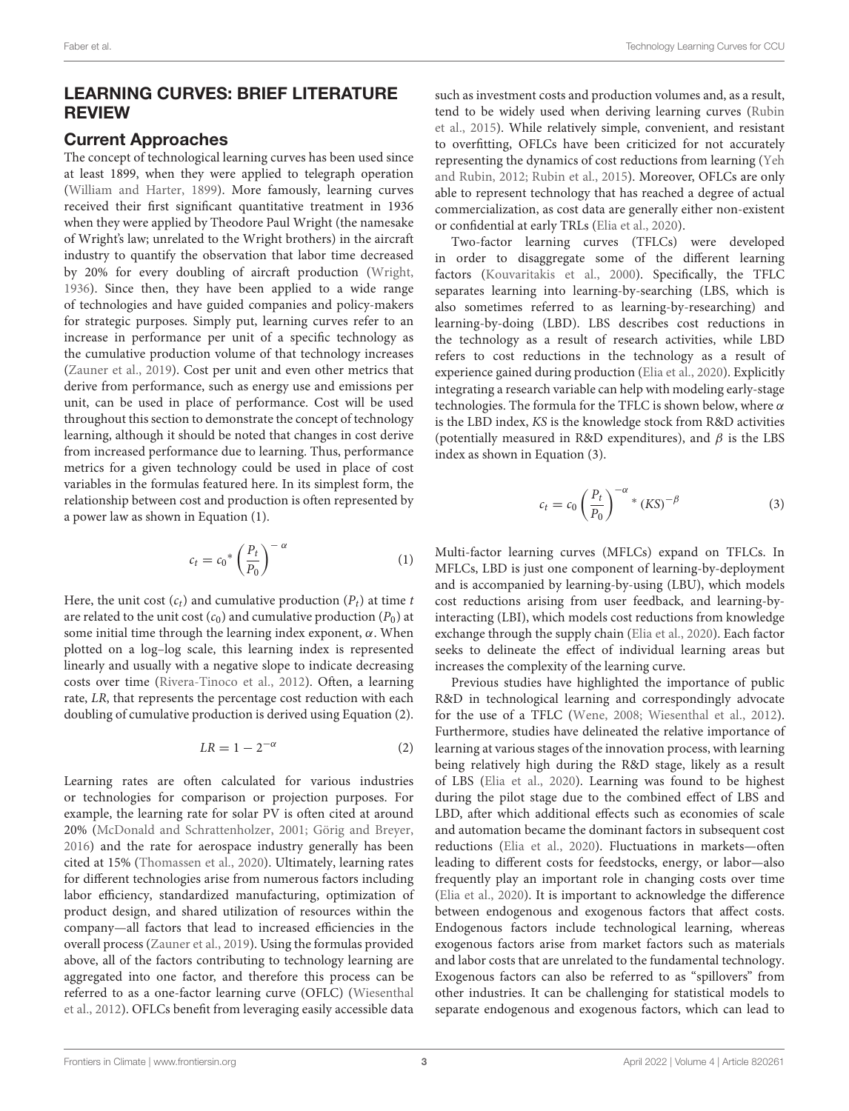### LEARNING CURVES: BRIEF LITERATURE REVIEW

#### Current Approaches

The concept of technological learning curves has been used since at least 1899, when they were applied to telegraph operation [\(William and Harter, 1899\)](#page-12-8). More famously, learning curves received their first significant quantitative treatment in 1936 when they were applied by Theodore Paul Wright (the namesake of Wright's law; unrelated to the Wright brothers) in the aircraft industry to quantify the observation that labor time decreased by 20% for every doubling of aircraft production [\(Wright,](#page-12-9) [1936\)](#page-12-9). Since then, they have been applied to a wide range of technologies and have guided companies and policy-makers for strategic purposes. Simply put, learning curves refer to an increase in performance per unit of a specific technology as the cumulative production volume of that technology increases [\(Zauner et al., 2019\)](#page-12-10). Cost per unit and even other metrics that derive from performance, such as energy use and emissions per unit, can be used in place of performance. Cost will be used throughout this section to demonstrate the concept of technology learning, although it should be noted that changes in cost derive from increased performance due to learning. Thus, performance metrics for a given technology could be used in place of cost variables in the formulas featured here. In its simplest form, the relationship between cost and production is often represented by a power law as shown in Equation (1).

$$
c_t = c_0^* \left(\frac{P_t}{P_0}\right)^{-\alpha} \tag{1}
$$

Here, the unit cost  $(c_t)$  and cumulative production  $(P_t)$  at time t are related to the unit cost  $(c_0)$  and cumulative production  $(P_0)$  at some initial time through the learning index exponent,  $\alpha$ . When plotted on a log–log scale, this learning index is represented linearly and usually with a negative slope to indicate decreasing costs over time [\(Rivera-Tinoco et al., 2012\)](#page-12-11). Often, a learning rate, LR, that represents the percentage cost reduction with each doubling of cumulative production is derived using Equation (2).

$$
LR = 1 - 2^{-\alpha} \tag{2}
$$

Learning rates are often calculated for various industries or technologies for comparison or projection purposes. For example, the learning rate for solar PV is often cited at around 20% [\(McDonald and Schrattenholzer, 2001;](#page-12-12) [Görig and Breyer,](#page-11-4) [2016\)](#page-11-4) and the rate for aerospace industry generally has been cited at 15% [\(Thomassen et al., 2020\)](#page-12-7). Ultimately, learning rates for different technologies arise from numerous factors including labor efficiency, standardized manufacturing, optimization of product design, and shared utilization of resources within the company—all factors that lead to increased efficiencies in the overall process [\(Zauner et al., 2019\)](#page-12-10). Using the formulas provided above, all of the factors contributing to technology learning are aggregated into one factor, and therefore this process can be referred to as a one-factor learning curve (OFLC) (Wiesenthal et al., [2012\)](#page-12-13). OFLCs benefit from leveraging easily accessible data such as investment costs and production volumes and, as a result, tend to be widely used when deriving learning curves (Rubin et al., [2015\)](#page-12-14). While relatively simple, convenient, and resistant to overfitting, OFLCs have been criticized for not accurately representing the dynamics of cost reductions from learning (Yeh and Rubin, [2012;](#page-12-15) [Rubin et al., 2015\)](#page-12-14). Moreover, OFLCs are only able to represent technology that has reached a degree of actual commercialization, as cost data are generally either non-existent or confidential at early TRLs [\(Elia et al., 2020\)](#page-11-5).

Two-factor learning curves (TFLCs) were developed in order to disaggregate some of the different learning factors [\(Kouvaritakis et al., 2000\)](#page-11-6). Specifically, the TFLC separates learning into learning-by-searching (LBS, which is also sometimes referred to as learning-by-researching) and learning-by-doing (LBD). LBS describes cost reductions in the technology as a result of research activities, while LBD refers to cost reductions in the technology as a result of experience gained during production [\(Elia et al., 2020\)](#page-11-5). Explicitly integrating a research variable can help with modeling early-stage technologies. The formula for the TFLC is shown below, where  $\alpha$ is the LBD index, KS is the knowledge stock from R&D activities (potentially measured in R&D expenditures), and  $\beta$  is the LBS index as shown in Equation (3).

$$
c_t = c_0 \left(\frac{P_t}{P_0}\right)^{-\alpha} * (KS)^{-\beta} \tag{3}
$$

Multi-factor learning curves (MFLCs) expand on TFLCs. In MFLCs, LBD is just one component of learning-by-deployment and is accompanied by learning-by-using (LBU), which models cost reductions arising from user feedback, and learning-byinteracting (LBI), which models cost reductions from knowledge exchange through the supply chain [\(Elia et al., 2020\)](#page-11-5). Each factor seeks to delineate the effect of individual learning areas but increases the complexity of the learning curve.

Previous studies have highlighted the importance of public R&D in technological learning and correspondingly advocate for the use of a TFLC [\(Wene, 2008;](#page-12-16) [Wiesenthal et al., 2012\)](#page-12-13). Furthermore, studies have delineated the relative importance of learning at various stages of the innovation process, with learning being relatively high during the R&D stage, likely as a result of LBS [\(Elia et al., 2020\)](#page-11-5). Learning was found to be highest during the pilot stage due to the combined effect of LBS and LBD, after which additional effects such as economies of scale and automation became the dominant factors in subsequent cost reductions [\(Elia et al., 2020\)](#page-11-5). Fluctuations in markets—often leading to different costs for feedstocks, energy, or labor—also frequently play an important role in changing costs over time [\(Elia et al., 2020\)](#page-11-5). It is important to acknowledge the difference between endogenous and exogenous factors that affect costs. Endogenous factors include technological learning, whereas exogenous factors arise from market factors such as materials and labor costs that are unrelated to the fundamental technology. Exogenous factors can also be referred to as "spillovers" from other industries. It can be challenging for statistical models to separate endogenous and exogenous factors, which can lead to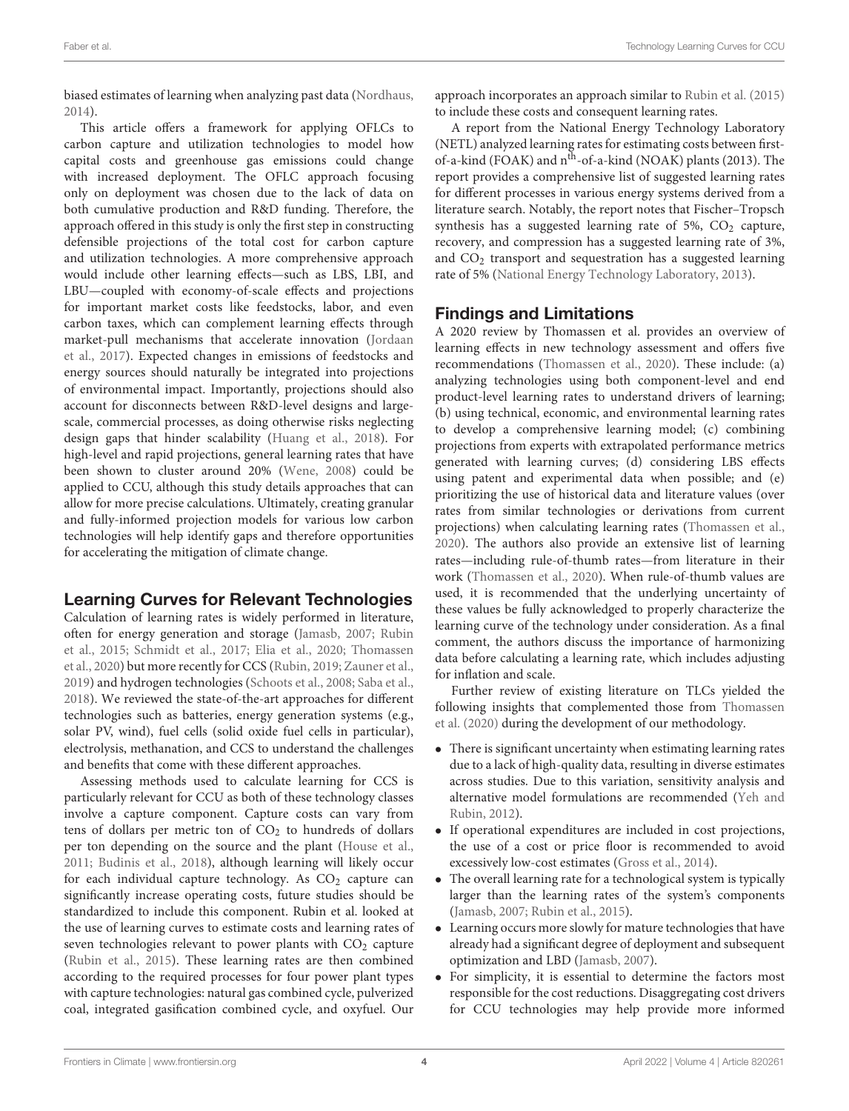biased estimates of learning when analyzing past data [\(Nordhaus,](#page-12-17) [2014\)](#page-12-17).

This article offers a framework for applying OFLCs to carbon capture and utilization technologies to model how capital costs and greenhouse gas emissions could change with increased deployment. The OFLC approach focusing only on deployment was chosen due to the lack of data on both cumulative production and R&D funding. Therefore, the approach offered in this study is only the first step in constructing defensible projections of the total cost for carbon capture and utilization technologies. A more comprehensive approach would include other learning effects—such as LBS, LBI, and LBU—coupled with economy-of-scale effects and projections for important market costs like feedstocks, labor, and even carbon taxes, which can complement learning effects through market-pull mechanisms that accelerate innovation (Jordaan et al., [2017\)](#page-11-7). Expected changes in emissions of feedstocks and energy sources should naturally be integrated into projections of environmental impact. Importantly, projections should also account for disconnects between R&D-level designs and largescale, commercial processes, as doing otherwise risks neglecting design gaps that hinder scalability [\(Huang et al., 2018\)](#page-11-8). For high-level and rapid projections, general learning rates that have been shown to cluster around 20% [\(Wene, 2008\)](#page-12-16) could be applied to CCU, although this study details approaches that can allow for more precise calculations. Ultimately, creating granular and fully-informed projection models for various low carbon technologies will help identify gaps and therefore opportunities for accelerating the mitigation of climate change.

# Learning Curves for Relevant Technologies

Calculation of learning rates is widely performed in literature, often for energy generation and storage [\(Jamasb, 2007;](#page-11-9) Rubin et al., [2015;](#page-12-14) [Schmidt et al., 2017;](#page-12-18) [Elia et al., 2020;](#page-11-5) Thomassen et al., [2020\)](#page-12-7) but more recently for CCS [\(Rubin, 2019;](#page-12-19) [Zauner et al.,](#page-12-10) [2019\)](#page-12-10) and hydrogen technologies [\(Schoots et al., 2008;](#page-12-20) [Saba et al.,](#page-12-21) [2018\)](#page-12-21). We reviewed the state-of-the-art approaches for different technologies such as batteries, energy generation systems (e.g., solar PV, wind), fuel cells (solid oxide fuel cells in particular), electrolysis, methanation, and CCS to understand the challenges and benefits that come with these different approaches.

Assessing methods used to calculate learning for CCS is particularly relevant for CCU as both of these technology classes involve a capture component. Capture costs can vary from tens of dollars per metric ton of  $CO<sub>2</sub>$  to hundreds of dollars per ton depending on the source and the plant [\(House et al.,](#page-11-10) [2011;](#page-11-10) [Budinis et al., 2018\)](#page-11-11), although learning will likely occur for each individual capture technology. As  $CO<sub>2</sub>$  capture can significantly increase operating costs, future studies should be standardized to include this component. Rubin et al. looked at the use of learning curves to estimate costs and learning rates of seven technologies relevant to power plants with  $CO<sub>2</sub>$  capture [\(Rubin et al., 2015\)](#page-12-14). These learning rates are then combined according to the required processes for four power plant types with capture technologies: natural gas combined cycle, pulverized coal, integrated gasification combined cycle, and oxyfuel. Our approach incorporates an approach similar to [Rubin et al. \(2015\)](#page-12-14) to include these costs and consequent learning rates.

A report from the National Energy Technology Laboratory (NETL) analyzed learning rates for estimating costs between firstof-a-kind (FOAK) and  $n^{\text{th}}$ -of-a-kind (NOAK) plants (2013). The report provides a comprehensive list of suggested learning rates for different processes in various energy systems derived from a literature search. Notably, the report notes that Fischer–Tropsch synthesis has a suggested learning rate of 5%,  $CO<sub>2</sub>$  capture, recovery, and compression has a suggested learning rate of 3%, and  $CO<sub>2</sub>$  transport and sequestration has a suggested learning rate of 5% [\(National Energy Technology Laboratory, 2013\)](#page-12-22).

## Findings and Limitations

A 2020 review by Thomassen et al. provides an overview of learning effects in new technology assessment and offers five recommendations [\(Thomassen et al., 2020\)](#page-12-7). These include: (a) analyzing technologies using both component-level and end product-level learning rates to understand drivers of learning; (b) using technical, economic, and environmental learning rates to develop a comprehensive learning model; (c) combining projections from experts with extrapolated performance metrics generated with learning curves; (d) considering LBS effects using patent and experimental data when possible; and (e) prioritizing the use of historical data and literature values (over rates from similar technologies or derivations from current projections) when calculating learning rates [\(Thomassen et al.,](#page-12-7) [2020\)](#page-12-7). The authors also provide an extensive list of learning rates—including rule-of-thumb rates—from literature in their work [\(Thomassen et al., 2020\)](#page-12-7). When rule-of-thumb values are used, it is recommended that the underlying uncertainty of these values be fully acknowledged to properly characterize the learning curve of the technology under consideration. As a final comment, the authors discuss the importance of harmonizing data before calculating a learning rate, which includes adjusting for inflation and scale.

Further review of existing literature on TLCs yielded the following insights that complemented those from Thomassen et al. [\(2020\)](#page-12-7) during the development of our methodology.

- There is significant uncertainty when estimating learning rates due to a lack of high-quality data, resulting in diverse estimates across studies. Due to this variation, sensitivity analysis and alternative model formulations are recommended (Yeh and Rubin, [2012\)](#page-12-15).
- If operational expenditures are included in cost projections, the use of a cost or price floor is recommended to avoid excessively low-cost estimates [\(Gross et al., 2014\)](#page-11-12).
- The overall learning rate for a technological system is typically larger than the learning rates of the system's components [\(Jamasb, 2007;](#page-11-9) [Rubin et al., 2015\)](#page-12-14).
- Learning occurs more slowly for mature technologies that have already had a significant degree of deployment and subsequent optimization and LBD [\(Jamasb, 2007\)](#page-11-9).
- For simplicity, it is essential to determine the factors most responsible for the cost reductions. Disaggregating cost drivers for CCU technologies may help provide more informed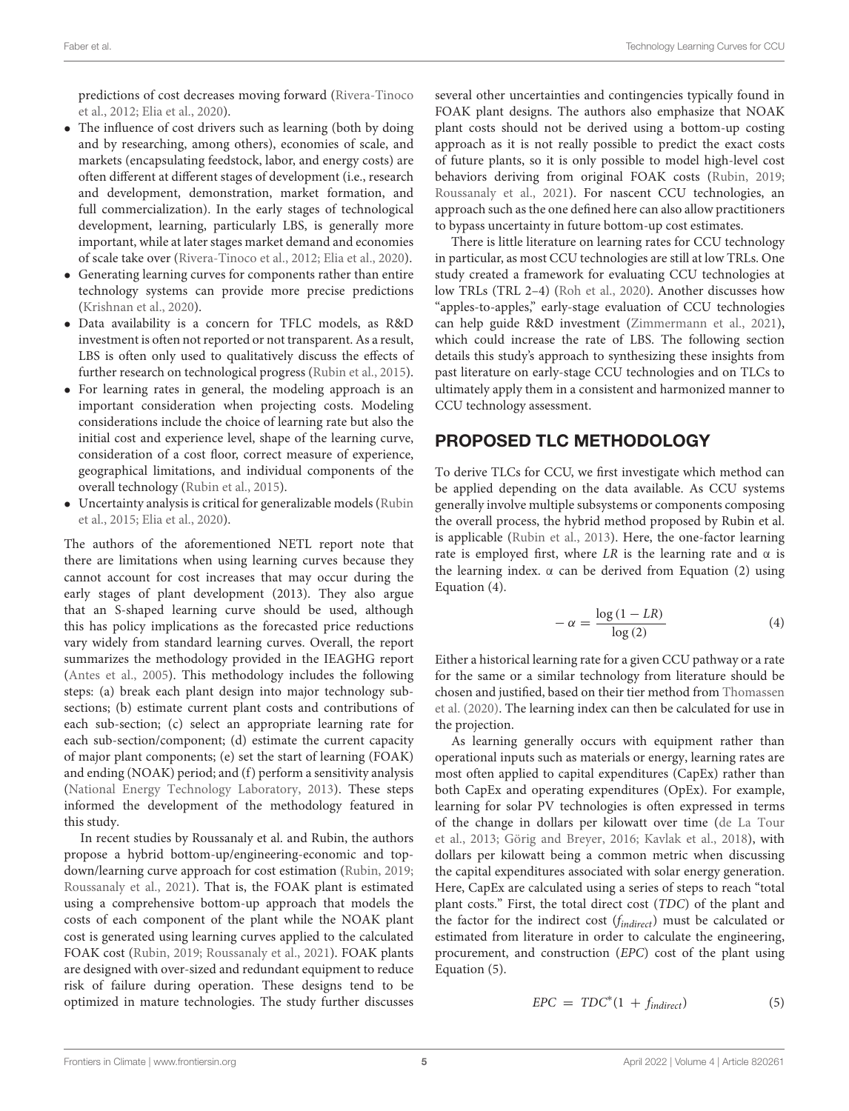predictions of cost decreases moving forward (Rivera-Tinoco et al., [2012;](#page-12-11) [Elia et al., 2020\)](#page-11-5).

- The influence of cost drivers such as learning (both by doing and by researching, among others), economies of scale, and markets (encapsulating feedstock, labor, and energy costs) are often different at different stages of development (i.e., research and development, demonstration, market formation, and full commercialization). In the early stages of technological development, learning, particularly LBS, is generally more important, while at later stages market demand and economies of scale take over [\(Rivera-Tinoco et al., 2012;](#page-12-11) [Elia et al., 2020\)](#page-11-5).
- Generating learning curves for components rather than entire technology systems can provide more precise predictions [\(Krishnan et al., 2020\)](#page-12-23).
- Data availability is a concern for TFLC models, as R&D investment is often not reported or not transparent. As a result, LBS is often only used to qualitatively discuss the effects of further research on technological progress [\(Rubin et al., 2015\)](#page-12-14).
- For learning rates in general, the modeling approach is an important consideration when projecting costs. Modeling considerations include the choice of learning rate but also the initial cost and experience level, shape of the learning curve, consideration of a cost floor, correct measure of experience, geographical limitations, and individual components of the overall technology [\(Rubin et al., 2015\)](#page-12-14).
- Uncertainty analysis is critical for generalizable models (Rubin et al., [2015;](#page-12-14) [Elia et al., 2020\)](#page-11-5).

The authors of the aforementioned NETL report note that there are limitations when using learning curves because they cannot account for cost increases that may occur during the early stages of plant development (2013). They also argue that an S-shaped learning curve should be used, although this has policy implications as the forecasted price reductions vary widely from standard learning curves. Overall, the report summarizes the methodology provided in the IEAGHG report [\(Antes et al., 2005\)](#page-11-13). This methodology includes the following steps: (a) break each plant design into major technology subsections; (b) estimate current plant costs and contributions of each sub-section; (c) select an appropriate learning rate for each sub-section/component; (d) estimate the current capacity of major plant components; (e) set the start of learning (FOAK) and ending (NOAK) period; and (f) perform a sensitivity analysis [\(National Energy Technology Laboratory, 2013\)](#page-12-22). These steps informed the development of the methodology featured in this study.

In recent studies by Roussanaly et al. and Rubin, the authors propose a hybrid bottom-up/engineering-economic and topdown/learning curve approach for cost estimation [\(Rubin, 2019;](#page-12-19) [Roussanaly et al., 2021\)](#page-12-6). That is, the FOAK plant is estimated using a comprehensive bottom-up approach that models the costs of each component of the plant while the NOAK plant cost is generated using learning curves applied to the calculated FOAK cost [\(Rubin, 2019;](#page-12-19) [Roussanaly et al., 2021\)](#page-12-6). FOAK plants are designed with over-sized and redundant equipment to reduce risk of failure during operation. These designs tend to be optimized in mature technologies. The study further discusses several other uncertainties and contingencies typically found in FOAK plant designs. The authors also emphasize that NOAK plant costs should not be derived using a bottom-up costing approach as it is not really possible to predict the exact costs of future plants, so it is only possible to model high-level cost behaviors deriving from original FOAK costs [\(Rubin, 2019;](#page-12-19) [Roussanaly et al., 2021\)](#page-12-6). For nascent CCU technologies, an approach such as the one defined here can also allow practitioners to bypass uncertainty in future bottom-up cost estimates.

There is little literature on learning rates for CCU technology in particular, as most CCU technologies are still at low TRLs. One study created a framework for evaluating CCU technologies at low TRLs (TRL 2–4) [\(Roh et al., 2020\)](#page-12-1). Another discusses how "apples-to-apples," early-stage evaluation of CCU technologies can help guide R&D investment [\(Zimmermann et al., 2021\)](#page-12-24), which could increase the rate of LBS. The following section details this study's approach to synthesizing these insights from past literature on early-stage CCU technologies and on TLCs to ultimately apply them in a consistent and harmonized manner to CCU technology assessment.

## PROPOSED TLC METHODOLOGY

To derive TLCs for CCU, we first investigate which method can be applied depending on the data available. As CCU systems generally involve multiple subsystems or components composing the overall process, the hybrid method proposed by Rubin et al. is applicable [\(Rubin et al., 2013\)](#page-12-25). Here, the one-factor learning rate is employed first, where LR is the learning rate and  $\alpha$  is the learning index.  $\alpha$  can be derived from Equation (2) using Equation (4).

$$
-\alpha = \frac{\log(1 - LR)}{\log(2)}\tag{4}
$$

Either a historical learning rate for a given CCU pathway or a rate for the same or a similar technology from literature should be chosen and justified, based on their tier method from Thomassen et al. [\(2020\)](#page-12-7). The learning index can then be calculated for use in the projection.

As learning generally occurs with equipment rather than operational inputs such as materials or energy, learning rates are most often applied to capital expenditures (CapEx) rather than both CapEx and operating expenditures (OpEx). For example, learning for solar PV technologies is often expressed in terms of the change in dollars per kilowatt over time (de La Tour et al., [2013;](#page-11-14) [Görig and Breyer, 2016;](#page-11-4) [Kavlak et al., 2018\)](#page-11-15), with dollars per kilowatt being a common metric when discussing the capital expenditures associated with solar energy generation. Here, CapEx are calculated using a series of steps to reach "total plant costs." First, the total direct cost (TDC) of the plant and the factor for the indirect cost  $(f_{indirect})$  must be calculated or estimated from literature in order to calculate the engineering, procurement, and construction (EPC) cost of the plant using Equation (5).

$$
EPC = TDC^*(1 + f_{indirect}) \tag{5}
$$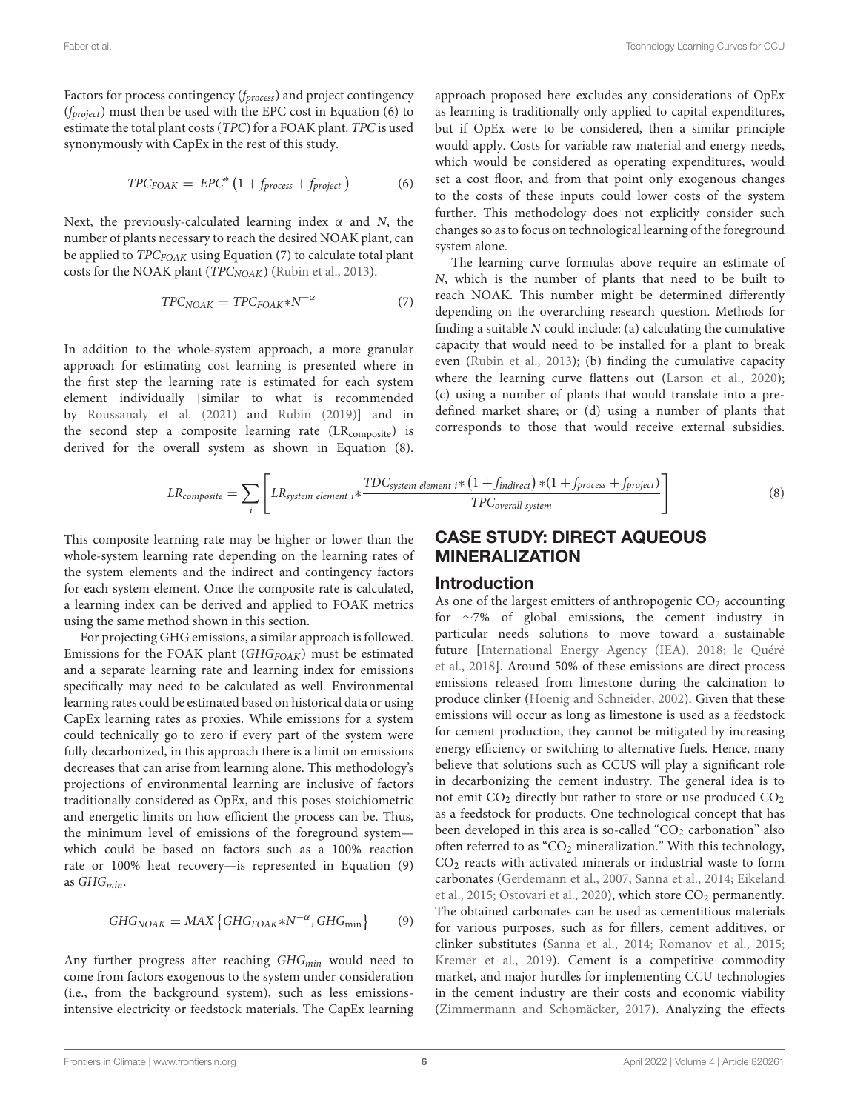Factors for process contingency  $(f_{process})$  and project contingency  $(f_{project})$  must then be used with the EPC cost in Equation (6) to estimate the total plant costs (TPC) for a FOAK plant. TPC is used synonymously with CapEx in the rest of this study.

$$
TPC_{FOAK} = EPC^* (1 + f_{process} + f_{project})
$$
 (6)

Next, the previously-calculated learning index  $\alpha$  and N, the number of plants necessary to reach the desired NOAK plant, can be applied to  $TPC_{FOAK}$  using Equation (7) to calculate total plant costs for the NOAK plant ( $TPC_{NOAK}$ ) [\(Rubin et al., 2013\)](#page-12-25).

$$
TPC_{NOAK} = TPC_{FOAK} * N^{-\alpha} \tag{7}
$$

In addition to the whole-system approach, a more granular approach for estimating cost learning is presented where in the first step the learning rate is estimated for each system element individually [similar to what is recommended by [Roussanaly et al. \(2021\)](#page-12-6) and [Rubin \(2019\)](#page-12-19)] and in the second step a composite learning rate (LR<sub>composite</sub>) is derived for the overall system as shown in Equation (8). approach proposed here excludes any considerations of OpEx as learning is traditionally only applied to capital expenditures, but if OpEx were to be considered, then a similar principle would apply. Costs for variable raw material and energy needs, which would be considered as operating expenditures, would set a cost floor, and from that point only exogenous changes to the costs of these inputs could lower costs of the system further. This methodology does not explicitly consider such changes so as to focus on technological learning of the foreground system alone.

The learning curve formulas above require an estimate of N, which is the number of plants that need to be built to reach NOAK. This number might be determined differently depending on the overarching research question. Methods for finding a suitable  $N$  could include: (a) calculating the cumulative capacity that would need to be installed for a plant to break even [\(Rubin et al., 2013\)](#page-12-25); (b) finding the cumulative capacity where the learning curve flattens out [\(Larson et al., 2020\)](#page-12-26); (c) using a number of plants that would translate into a predefined market share; or (d) using a number of plants that corresponds to those that would receive external subsidies.

$$
LR_{composite} = \sum_{i} \left[ LR_{system\ element\ i} * \frac{TDC_{system\ element\ i} * (1 + f_{indirect}) * (1 + f_{process} + f_{project})}{TPC_{overall\ system}} \right]
$$
(8)

This composite learning rate may be higher or lower than the whole-system learning rate depending on the learning rates of the system elements and the indirect and contingency factors for each system element. Once the composite rate is calculated, a learning index can be derived and applied to FOAK metrics using the same method shown in this section.

For projecting GHG emissions, a similar approach is followed. Emissions for the FOAK plant  $(GHG_{FOAK})$  must be estimated and a separate learning rate and learning index for emissions specifically may need to be calculated as well. Environmental learning rates could be estimated based on historical data or using CapEx learning rates as proxies. While emissions for a system could technically go to zero if every part of the system were fully decarbonized, in this approach there is a limit on emissions decreases that can arise from learning alone. This methodology's projections of environmental learning are inclusive of factors traditionally considered as OpEx, and this poses stoichiometric and energetic limits on how efficient the process can be. Thus, the minimum level of emissions of the foreground system which could be based on factors such as a 100% reaction rate or 100% heat recovery—is represented in Equation (9) as  $GHG_{min}$ .

$$
GHG_{NOAK} = MAX\left\{ GHG_{FOAK} * N^{-\alpha}, GHG_{\min}\right\}
$$
 (9)

Any further progress after reaching  $GHG_{min}$  would need to come from factors exogenous to the system under consideration (i.e., from the background system), such as less emissionsintensive electricity or feedstock materials. The CapEx learning

# CASE STUDY: DIRECT AQUEOUS MINERALIZATION

#### Introduction

As one of the largest emitters of anthropogenic  $CO<sub>2</sub>$  accounting for ∼7% of global emissions, the cement industry in particular needs solutions to move toward a sustainable future [\[International Energy Agency \(IEA\), 2018;](#page-11-16) le Quéré et al., [2018\]](#page-12-27). Around 50% of these emissions are direct process emissions released from limestone during the calcination to produce clinker [\(Hoenig and Schneider, 2002\)](#page-11-17). Given that these emissions will occur as long as limestone is used as a feedstock for cement production, they cannot be mitigated by increasing energy efficiency or switching to alternative fuels. Hence, many believe that solutions such as CCUS will play a significant role in decarbonizing the cement industry. The general idea is to not emit  $CO<sub>2</sub>$  directly but rather to store or use produced  $CO<sub>2</sub>$ as a feedstock for products. One technological concept that has been developed in this area is so-called " $CO<sub>2</sub>$  carbonation" also often referred to as "CO<sub>2</sub> mineralization." With this technology,  $CO<sub>2</sub>$  reacts with activated minerals or industrial waste to form carbonates [\(Gerdemann et al., 2007;](#page-11-18) [Sanna et al., 2014;](#page-12-28) Eikeland et al., [2015;](#page-11-19) [Ostovari et al., 2020\)](#page-12-29), which store  $CO<sub>2</sub>$  permanently. The obtained carbonates can be used as cementitious materials for various purposes, such as for fillers, cement additives, or clinker substitutes [\(Sanna et al., 2014;](#page-12-28) [Romanov et al., 2015;](#page-12-30) [Kremer et al., 2019\)](#page-11-20). Cement is a competitive commodity market, and major hurdles for implementing CCU technologies in the cement industry are their costs and economic viability [\(Zimmermann and Schomäcker, 2017\)](#page-12-3). Analyzing the effects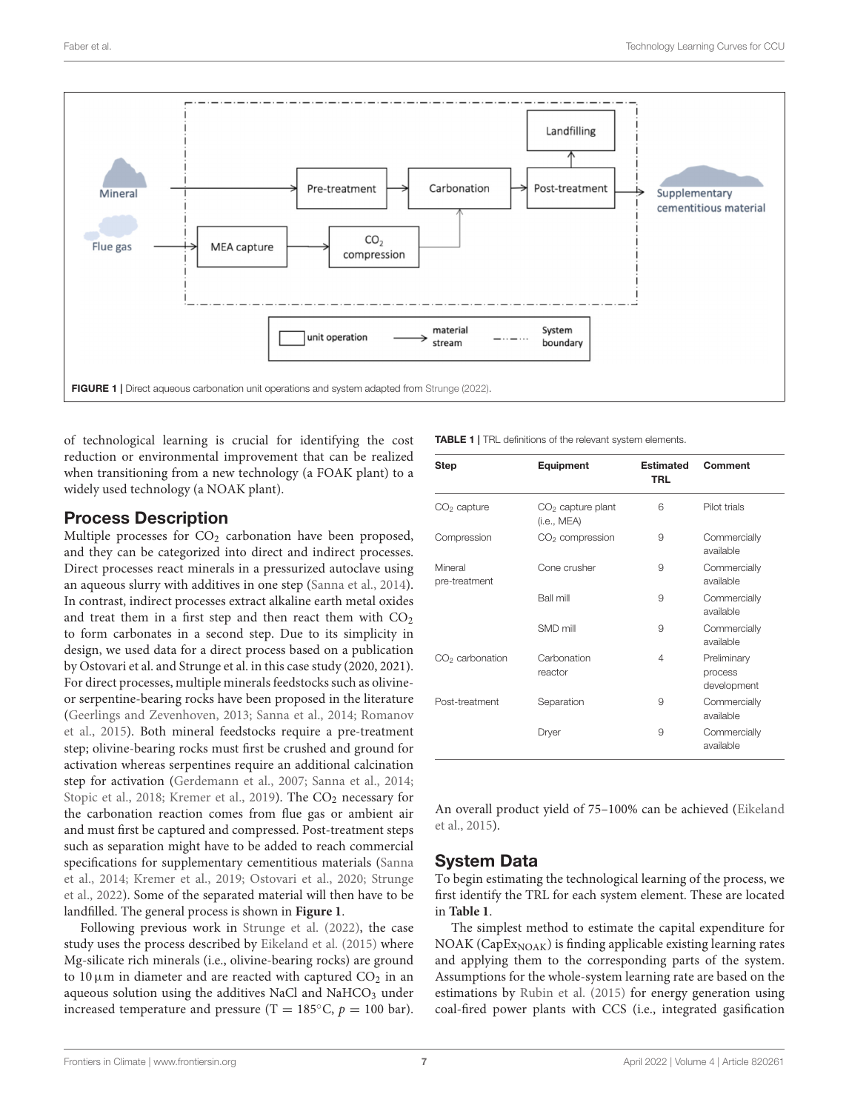

<span id="page-6-0"></span>of technological learning is crucial for identifying the cost reduction or environmental improvement that can be realized when transitioning from a new technology (a FOAK plant) to a widely used technology (a NOAK plant).

# Process Description

Multiple processes for  $CO<sub>2</sub>$  carbonation have been proposed, and they can be categorized into direct and indirect processes. Direct processes react minerals in a pressurized autoclave using an aqueous slurry with additives in one step [\(Sanna et al., 2014\)](#page-12-28). In contrast, indirect processes extract alkaline earth metal oxides and treat them in a first step and then react them with  $CO<sub>2</sub>$ to form carbonates in a second step. Due to its simplicity in design, we used data for a direct process based on a publication by Ostovari et al. and Strunge et al. in this case study (2020, 2021). For direct processes, multiple minerals feedstocks such as olivineor serpentine-bearing rocks have been proposed in the literature [\(Geerlings and Zevenhoven, 2013;](#page-11-21) [Sanna et al., 2014;](#page-12-28) Romanov et al., [2015\)](#page-12-30). Both mineral feedstocks require a pre-treatment step; olivine-bearing rocks must first be crushed and ground for activation whereas serpentines require an additional calcination step for activation [\(Gerdemann et al., 2007;](#page-11-18) [Sanna et al., 2014;](#page-12-28) [Stopic et al., 2018;](#page-12-32) [Kremer et al., 2019\)](#page-11-20). The CO<sub>2</sub> necessary for the carbonation reaction comes from flue gas or ambient air and must first be captured and compressed. Post-treatment steps such as separation might have to be added to reach commercial specifications for supplementary cementitious materials (Sanna et al., [2014;](#page-12-28) [Kremer et al., 2019;](#page-11-20) [Ostovari et al., 2020;](#page-12-29) Strunge et al., [2022\)](#page-12-33). Some of the separated material will then have to be landfilled. The general process is shown in **[Figure 1](#page-6-0)**.

Following previous work in [Strunge et al. \(2022\)](#page-12-33), the case study uses the process described by [Eikeland et al. \(2015\)](#page-11-19) where Mg-silicate rich minerals (i.e., olivine-bearing rocks) are ground to 10  $\mu$ m in diameter and are reacted with captured CO<sub>2</sub> in an aqueous solution using the additives NaCl and NaHCO<sub>3</sub> under increased temperature and pressure (T = 185 $\degree$ C, p = 100 bar).

<span id="page-6-1"></span>TABLE 1 | TRL definitions of the relevant system elements.

| Step                     | Equipment                          | <b>Estimated</b><br><b>TRL</b> | Comment                               |  |
|--------------------------|------------------------------------|--------------------------------|---------------------------------------|--|
| $CO2$ capture            | $CO2$ capture plant<br>(i.e., MEA) | 6                              | Pilot trials                          |  |
| Compression              | $CO2$ compression                  | 9                              | Commercially<br>available             |  |
| Mineral<br>pre-treatment | Cone crusher                       | 9                              | Commercially<br>available             |  |
|                          | <b>Ball mill</b>                   | 9                              | Commercially<br>available             |  |
|                          | SMD mill                           | 9                              | Commercially<br>available             |  |
| $CO2$ carbonation        | Carbonation<br>4<br>reactor        |                                | Preliminary<br>process<br>development |  |
| Post-treatment           | Separation                         | 9                              | Commercially<br>available             |  |
|                          | Dryer                              | 9                              | Commercially<br>available             |  |

An overall product yield of 75–100% can be achieved (Eikeland et al., [2015\)](#page-11-19).

# System Data

To begin estimating the technological learning of the process, we first identify the TRL for each system element. These are located in **[Table 1](#page-6-1)**.

The simplest method to estimate the capital expenditure for  $NOAK (CapEx<sub>NOAK</sub>)$  is finding applicable existing learning rates and applying them to the corresponding parts of the system. Assumptions for the whole-system learning rate are based on the estimations by [Rubin et al. \(2015\)](#page-12-14) for energy generation using coal-fired power plants with CCS (i.e., integrated gasification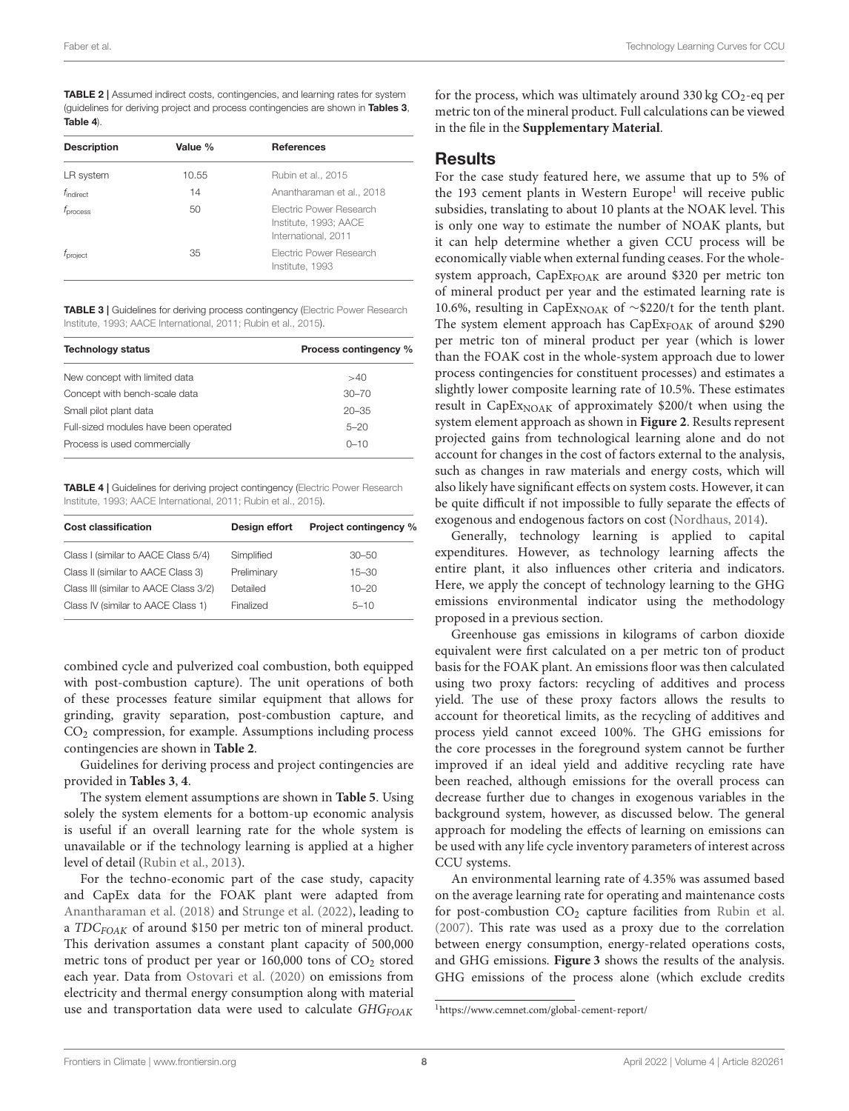<span id="page-7-2"></span>TABLE 2 | Assumed indirect costs, contingencies, and learning rates for system (guidelines for deriving project and process contingencies are shown in [Tables 3](#page-7-0), [Table 4](#page-7-1)).

| <b>Description</b>    | Value % | <b>References</b>                                                              |  |
|-----------------------|---------|--------------------------------------------------------------------------------|--|
| LR system             | 10.55   | Rubin et al., 2015                                                             |  |
| $f_{\text{indirect}}$ | 14      | Anantharaman et al., 2018                                                      |  |
| $t_{\text{process}}$  | 50      | <b>Electric Power Research</b><br>Institute, 1993; AACE<br>International, 2011 |  |
| $t_{\text{project}}$  | 35      | Electric Power Research<br>Institute, 1993                                     |  |

<span id="page-7-0"></span>TABLE 3 | Guidelines for deriving process contingency (Electric Power Research Institute, [1993;](#page-11-23) [AACE International, 2011;](#page-11-24) [Rubin et al., 2015\)](#page-12-14).

| <b>Technology status</b>              | Process contingency % |  |
|---------------------------------------|-----------------------|--|
| New concept with limited data         | >40                   |  |
| Concept with bench-scale data         | $30 - 70$             |  |
| Small pilot plant data                | $20 - 35$             |  |
| Full-sized modules have been operated | $5 - 20$              |  |
| Process is used commercially          | $0 - 10$              |  |

<span id="page-7-1"></span>TABLE 4 | Guidelines for deriving project contingency (Electric Power Research Institute, [1993;](#page-11-23) [AACE International, 2011;](#page-11-24) [Rubin et al., 2015\)](#page-12-14).

| <b>Cost classification</b>            | Design effort | Project contingency % |  |
|---------------------------------------|---------------|-----------------------|--|
| Class I (similar to AACE Class 5/4)   | Simplified    | $30 - 50$             |  |
| Class II (similar to AACE Class 3)    | Preliminary   | $15 - 30$             |  |
| Class III (similar to AACE Class 3/2) | Detailed      | $10 - 20$             |  |
| Class IV (similar to AACE Class 1)    | Finalized     | $5 - 10$              |  |

combined cycle and pulverized coal combustion, both equipped with post-combustion capture). The unit operations of both of these processes feature similar equipment that allows for grinding, gravity separation, post-combustion capture, and CO<sup>2</sup> compression, for example. Assumptions including process contingencies are shown in **[Table 2](#page-7-2)**.

Guidelines for deriving process and project contingencies are provided in **[Tables 3](#page-7-0)**, **[4](#page-7-1)**.

The system element assumptions are shown in **[Table 5](#page-8-0)**. Using solely the system elements for a bottom-up economic analysis is useful if an overall learning rate for the whole system is unavailable or if the technology learning is applied at a higher level of detail [\(Rubin et al., 2013\)](#page-12-25).

For the techno-economic part of the case study, capacity and CapEx data for the FOAK plant were adapted from [Anantharaman et al. \(2018\)](#page-11-22) and [Strunge et al. \(2022\)](#page-12-33), leading to a  $TDC_{FOAK}$  of around \$150 per metric ton of mineral product. This derivation assumes a constant plant capacity of 500,000 metric tons of product per year or  $160,000$  tons of  $CO<sub>2</sub>$  stored each year. Data from [Ostovari et al. \(2020\)](#page-12-29) on emissions from electricity and thermal energy consumption along with material use and transportation data were used to calculate  $GHG_{FOAK}$  for the process, which was ultimately around  $330 \text{ kg CO}_2$ -eq per metric ton of the mineral product. Full calculations can be viewed in the file in the **[Supplementary Material](#page-11-25)**.

#### **Results**

For the case study featured here, we assume that up to 5% of the [1](#page-7-3)93 cement plants in Western Europe<sup>1</sup> will receive public subsidies, translating to about 10 plants at the NOAK level. This is only one way to estimate the number of NOAK plants, but it can help determine whether a given CCU process will be economically viable when external funding ceases. For the wholesystem approach, CapExFOAK are around \$320 per metric ton of mineral product per year and the estimated learning rate is 10.6%, resulting in CapEx<sub>NOAK</sub> of ∼\$220/t for the tenth plant. The system element approach has CapEx<sub>FOAK</sub> of around \$290 per metric ton of mineral product per year (which is lower than the FOAK cost in the whole-system approach due to lower process contingencies for constituent processes) and estimates a slightly lower composite learning rate of 10.5%. These estimates result in  $CapEx_{NOAK}$  of approximately \$200/t when using the system element approach as shown in **[Figure 2](#page-8-1)**. Results represent projected gains from technological learning alone and do not account for changes in the cost of factors external to the analysis, such as changes in raw materials and energy costs, which will also likely have significant effects on system costs. However, it can be quite difficult if not impossible to fully separate the effects of exogenous and endogenous factors on cost [\(Nordhaus, 2014\)](#page-12-17).

Generally, technology learning is applied to capital expenditures. However, as technology learning affects the entire plant, it also influences other criteria and indicators. Here, we apply the concept of technology learning to the GHG emissions environmental indicator using the methodology proposed in a previous section.

Greenhouse gas emissions in kilograms of carbon dioxide equivalent were first calculated on a per metric ton of product basis for the FOAK plant. An emissions floor was then calculated using two proxy factors: recycling of additives and process yield. The use of these proxy factors allows the results to account for theoretical limits, as the recycling of additives and process yield cannot exceed 100%. The GHG emissions for the core processes in the foreground system cannot be further improved if an ideal yield and additive recycling rate have been reached, although emissions for the overall process can decrease further due to changes in exogenous variables in the background system, however, as discussed below. The general approach for modeling the effects of learning on emissions can be used with any life cycle inventory parameters of interest across CCU systems.

An environmental learning rate of 4.35% was assumed based on the average learning rate for operating and maintenance costs for post-combustion  $CO<sub>2</sub>$  capture facilities from [Rubin et al.](#page-12-34) [\(2007\)](#page-12-34). This rate was used as a proxy due to the correlation between energy consumption, energy-related operations costs, and GHG emissions. **[Figure 3](#page-9-0)** shows the results of the analysis. GHG emissions of the process alone (which exclude credits

<span id="page-7-3"></span><sup>1</sup><https://www.cemnet.com/global-cement-report/>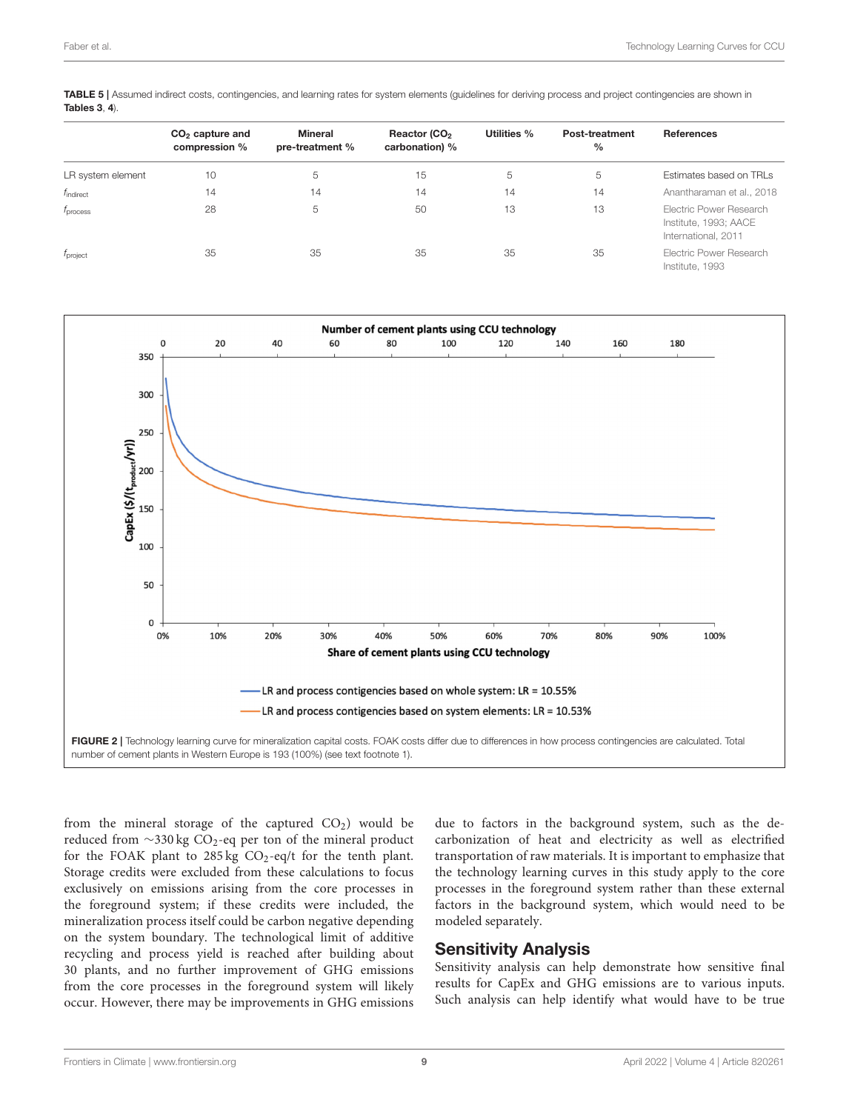<span id="page-8-0"></span>TABLE 5 | Assumed indirect costs, contingencies, and learning rates for system elements (guidelines for deriving process and project contingencies are shown in [Tables 3](#page-7-0), [4](#page-7-1)).

|                       | $CO2$ capture and<br>compression % | Mineral<br>pre-treatment % | Reactor (CO <sub>2</sub><br>carbonation) % | Utilities % | <b>Post-treatment</b><br>$\frac{0}{0}$ | <b>References</b>                                                       |
|-----------------------|------------------------------------|----------------------------|--------------------------------------------|-------------|----------------------------------------|-------------------------------------------------------------------------|
| LR system element     | 10                                 | 5                          | 15                                         | 5           | 5                                      | Estimates based on TRLs                                                 |
| $f_{\text{indirect}}$ | 14                                 | 14                         | 14                                         | 14          | 14                                     | Anantharaman et al., 2018                                               |
| f <sub>process</sub>  | 28                                 | 5                          | 50                                         | 13          | 13                                     | Electric Power Research<br>Institute, 1993; AACE<br>International, 2011 |
| f <sub>project</sub>  | 35                                 | 35                         | 35                                         | 35          | 35                                     | Electric Power Research<br>Institute, 1993                              |



<span id="page-8-1"></span>from the mineral storage of the captured  $CO<sub>2</sub>$ ) would be reduced from ∼330 kg CO<sub>2</sub>-eq per ton of the mineral product for the FOAK plant to  $285 \text{ kg } CO_2$ -eq/t for the tenth plant. Storage credits were excluded from these calculations to focus exclusively on emissions arising from the core processes in the foreground system; if these credits were included, the mineralization process itself could be carbon negative depending on the system boundary. The technological limit of additive recycling and process yield is reached after building about 30 plants, and no further improvement of GHG emissions from the core processes in the foreground system will likely occur. However, there may be improvements in GHG emissions due to factors in the background system, such as the decarbonization of heat and electricity as well as electrified transportation of raw materials. It is important to emphasize that the technology learning curves in this study apply to the core processes in the foreground system rather than these external factors in the background system, which would need to be modeled separately.

#### Sensitivity Analysis

Sensitivity analysis can help demonstrate how sensitive final results for CapEx and GHG emissions are to various inputs. Such analysis can help identify what would have to be true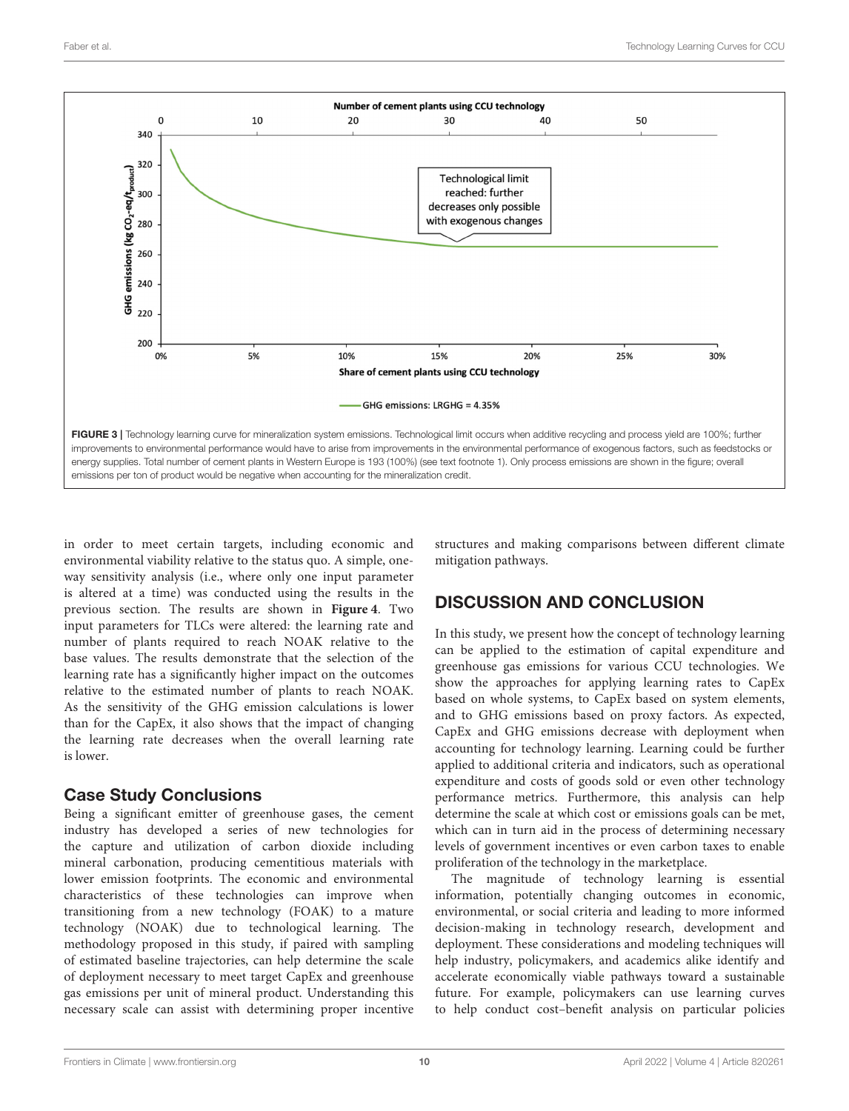

<span id="page-9-0"></span>in order to meet certain targets, including economic and environmental viability relative to the status quo. A simple, oneway sensitivity analysis (i.e., where only one input parameter is altered at a time) was conducted using the results in the previous section. The results are shown in **[Figure 4](#page-10-0)**. Two input parameters for TLCs were altered: the learning rate and number of plants required to reach NOAK relative to the base values. The results demonstrate that the selection of the learning rate has a significantly higher impact on the outcomes relative to the estimated number of plants to reach NOAK. As the sensitivity of the GHG emission calculations is lower than for the CapEx, it also shows that the impact of changing the learning rate decreases when the overall learning rate is lower.

#### Case Study Conclusions

Being a significant emitter of greenhouse gases, the cement industry has developed a series of new technologies for the capture and utilization of carbon dioxide including mineral carbonation, producing cementitious materials with lower emission footprints. The economic and environmental characteristics of these technologies can improve when transitioning from a new technology (FOAK) to a mature technology (NOAK) due to technological learning. The methodology proposed in this study, if paired with sampling of estimated baseline trajectories, can help determine the scale of deployment necessary to meet target CapEx and greenhouse gas emissions per unit of mineral product. Understanding this necessary scale can assist with determining proper incentive structures and making comparisons between different climate mitigation pathways.

# DISCUSSION AND CONCLUSION

In this study, we present how the concept of technology learning can be applied to the estimation of capital expenditure and greenhouse gas emissions for various CCU technologies. We show the approaches for applying learning rates to CapEx based on whole systems, to CapEx based on system elements, and to GHG emissions based on proxy factors. As expected, CapEx and GHG emissions decrease with deployment when accounting for technology learning. Learning could be further applied to additional criteria and indicators, such as operational expenditure and costs of goods sold or even other technology performance metrics. Furthermore, this analysis can help determine the scale at which cost or emissions goals can be met, which can in turn aid in the process of determining necessary levels of government incentives or even carbon taxes to enable proliferation of the technology in the marketplace.

The magnitude of technology learning is essential information, potentially changing outcomes in economic, environmental, or social criteria and leading to more informed decision-making in technology research, development and deployment. These considerations and modeling techniques will help industry, policymakers, and academics alike identify and accelerate economically viable pathways toward a sustainable future. For example, policymakers can use learning curves to help conduct cost–benefit analysis on particular policies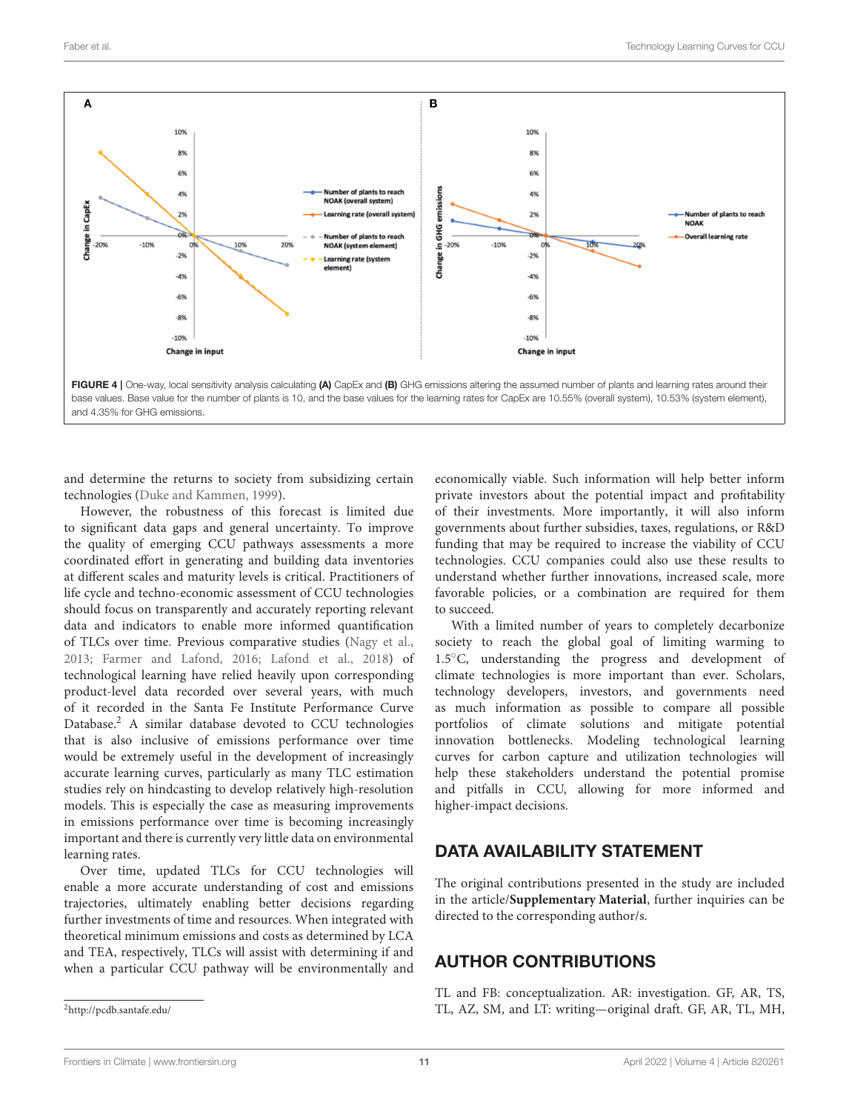

<span id="page-10-0"></span>and determine the returns to society from subsidizing certain technologies [\(Duke and Kammen, 1999\)](#page-11-26).

However, the robustness of this forecast is limited due to significant data gaps and general uncertainty. To improve the quality of emerging CCU pathways assessments a more coordinated effort in generating and building data inventories at different scales and maturity levels is critical. Practitioners of life cycle and techno-economic assessment of CCU technologies should focus on transparently and accurately reporting relevant data and indicators to enable more informed quantification of TLCs over time. Previous comparative studies [\(Nagy et al.,](#page-12-35) [2013;](#page-12-35) [Farmer and Lafond, 2016;](#page-11-27) [Lafond et al., 2018\)](#page-12-36) of technological learning have relied heavily upon corresponding product-level data recorded over several years, with much of it recorded in the Santa Fe Institute Performance Curve Database.[2](#page-10-1) A similar database devoted to CCU technologies that is also inclusive of emissions performance over time would be extremely useful in the development of increasingly accurate learning curves, particularly as many TLC estimation studies rely on hindcasting to develop relatively high-resolution models. This is especially the case as measuring improvements in emissions performance over time is becoming increasingly important and there is currently very little data on environmental learning rates.

Over time, updated TLCs for CCU technologies will enable a more accurate understanding of cost and emissions trajectories, ultimately enabling better decisions regarding further investments of time and resources. When integrated with theoretical minimum emissions and costs as determined by LCA and TEA, respectively, TLCs will assist with determining if and when a particular CCU pathway will be environmentally and economically viable. Such information will help better inform private investors about the potential impact and profitability of their investments. More importantly, it will also inform governments about further subsidies, taxes, regulations, or R&D funding that may be required to increase the viability of CCU technologies. CCU companies could also use these results to understand whether further innovations, increased scale, more favorable policies, or a combination are required for them to succeed.

With a limited number of years to completely decarbonize society to reach the global goal of limiting warming to 1.5◦C, understanding the progress and development of climate technologies is more important than ever. Scholars, technology developers, investors, and governments need as much information as possible to compare all possible portfolios of climate solutions and mitigate potential innovation bottlenecks. Modeling technological learning curves for carbon capture and utilization technologies will help these stakeholders understand the potential promise and pitfalls in CCU, allowing for more informed and higher-impact decisions.

# DATA AVAILABILITY STATEMENT

The original contributions presented in the study are included in the article/**[Supplementary Material](#page-11-25)**, further inquiries can be directed to the corresponding author/s.

# AUTHOR CONTRIBUTIONS

TL and FB: conceptualization. AR: investigation. GF, AR, TS, TL, AZ, SM, and LT: writing—original draft. GF, AR, TL, MH,

<span id="page-10-1"></span><sup>2</sup><http://pcdb.santafe.edu/>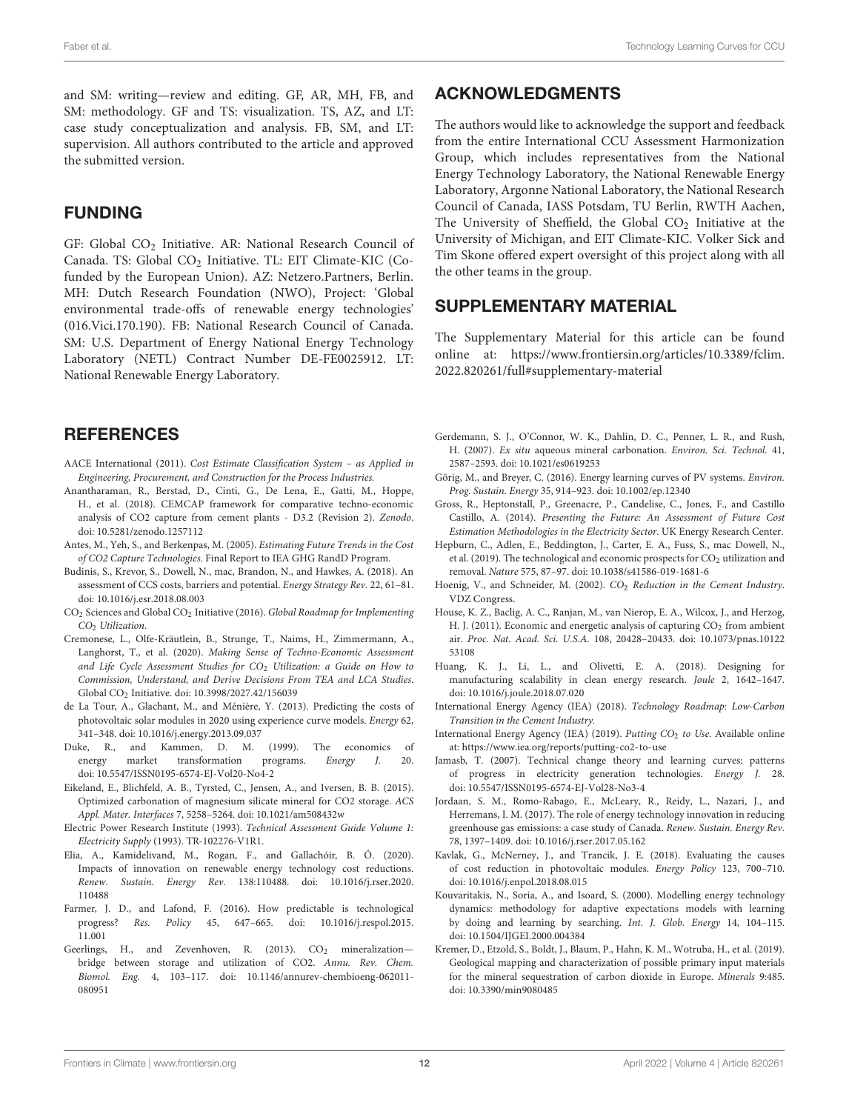and SM: writing—review and editing. GF, AR, MH, FB, and SM: methodology. GF and TS: visualization. TS, AZ, and LT: case study conceptualization and analysis. FB, SM, and LT: supervision. All authors contributed to the article and approved the submitted version.

#### FUNDING

GF: Global CO<sub>2</sub> Initiative. AR: National Research Council of Canada. TS: Global CO<sub>2</sub> Initiative. TL: EIT Climate-KIC (Cofunded by the European Union). AZ: Netzero.Partners, Berlin. MH: Dutch Research Foundation (NWO), Project: 'Global environmental trade-offs of renewable energy technologies' (016.Vici.170.190). FB: National Research Council of Canada. SM: U.S. Department of Energy National Energy Technology Laboratory (NETL) Contract Number DE-FE0025912. LT: National Renewable Energy Laboratory.

#### **REFERENCES**

- <span id="page-11-24"></span>AACE International (2011). Cost Estimate Classification System – as Applied in Engineering, Procurement, and Construction for the Process Industries.
- <span id="page-11-22"></span>Anantharaman, R., Berstad, D., Cinti, G., De Lena, E., Gatti, M., Hoppe, H., et al. (2018). CEMCAP framework for comparative techno-economic analysis of CO2 capture from cement plants - D3.2 (Revision 2). Zenodo. doi: [10.5281/zenodo.1257112](https://doi.org/10.5281/zenodo.1257112)
- <span id="page-11-13"></span>Antes, M., Yeh, S., and Berkenpas, M. (2005). Estimating Future Trends in the Cost of CO2 Capture Technologies. Final Report to IEA GHG RandD Program.
- <span id="page-11-11"></span>Budinis, S., Krevor, S., Dowell, N., mac, Brandon, N., and Hawkes, A. (2018). An assessment of CCS costs, barriers and potential. Energy Strategy Rev. 22, 61–81. doi: [10.1016/j.esr.2018.08.003](https://doi.org/10.1016/j.esr.2018.08.003)
- <span id="page-11-0"></span>CO<sup>2</sup> Sciences and Global CO<sup>2</sup> Initiative (2016). Global Roadmap for Implementing CO<sub>2</sub> Utilization.
- <span id="page-11-3"></span>Cremonese, L., Olfe-Kräutlein, B., Strunge, T., Naims, H., Zimmermann, A., Langhorst, T., et al. (2020). Making Sense of Techno-Economic Assessment and Life Cycle Assessment Studies for  $CO<sub>2</sub>$  Utilization: a Guide on How to Commission, Understand, and Derive Decisions From TEA and LCA Studies. Global CO<sup>2</sup> Initiative. doi: [10.3998/2027.42/156039](https://doi.org/10.3998/2027.42/156039)
- <span id="page-11-14"></span>de La Tour, A., Glachant, M., and Ménière, Y. (2013). Predicting the costs of photovoltaic solar modules in 2020 using experience curve models. Energy 62, 341–348. doi: [10.1016/j.energy.2013.09.037](https://doi.org/10.1016/j.energy.2013.09.037)
- <span id="page-11-26"></span>Duke, R., and Kammen, D. M. (1999). The economics of energy market transformation programs. Energy J. 20. doi: [10.5547/ISSN0195-6574-EJ-Vol20-No4-2](https://doi.org/10.5547/ISSN0195-6574-EJ-Vol20-No4-2)
- <span id="page-11-19"></span>Eikeland, E., Blichfeld, A. B., Tyrsted, C., Jensen, A., and Iversen, B. B. (2015). Optimized carbonation of magnesium silicate mineral for CO2 storage. ACS Appl. Mater. Interfaces 7, 5258–5264. doi: [10.1021/am508432w](https://doi.org/10.1021/am508432w)
- <span id="page-11-23"></span>Electric Power Research Institute (1993). Technical Assessment Guide Volume 1: Electricity Supply (1993). TR-102276-V1R1.
- <span id="page-11-5"></span>Elia, A., Kamidelivand, M., Rogan, F., and Gallachóir, B. Ó. (2020). Impacts of innovation on renewable energy technology cost reductions. Renew. Sustain. Energy Rev. [138:110488. doi: 10.1016/j.rser.2020.](https://doi.org/10.1016/j.rser.2020.110488) 110488
- <span id="page-11-27"></span>Farmer, J. D., and Lafond, F. (2016). How predictable is technological progress? Res. Policy [45, 647–665. doi: 10.1016/j.respol.2015.](https://doi.org/10.1016/j.respol.2015.11.001) 11.001
- <span id="page-11-21"></span>Geerlings, H., and Zevenhoven, R. (2013).  $CO<sub>2</sub>$  mineralizationbridge between storage and utilization of CO2. Annu. Rev. Chem. Biomol. Eng. [4, 103–117. doi: 10.1146/annurev-chembioeng-062011-](https://doi.org/10.1146/annurev-chembioeng-062011-080951) 080951

#### ACKNOWLEDGMENTS

The authors would like to acknowledge the support and feedback from the entire International CCU Assessment Harmonization Group, which includes representatives from the National Energy Technology Laboratory, the National Renewable Energy Laboratory, Argonne National Laboratory, the National Research Council of Canada, IASS Potsdam, TU Berlin, RWTH Aachen, The University of Sheffield, the Global  $CO<sub>2</sub>$  Initiative at the University of Michigan, and EIT Climate-KIC. Volker Sick and Tim Skone offered expert oversight of this project along with all the other teams in the group.

## SUPPLEMENTARY MATERIAL

<span id="page-11-25"></span>The Supplementary Material for this article can be found [online at: https://www.frontiersin.org/articles/10.3389/fclim.](https://www.frontiersin.org/articles/10.3389/fclim.2022.820261/full#supplementary-material) 2022.820261/full#supplementary-material

- <span id="page-11-18"></span>Gerdemann, S. J., O'Connor, W. K., Dahlin, D. C., Penner, L. R., and Rush, H. (2007). Ex situ aqueous mineral carbonation. Environ. Sci. Technol. 41, 2587–2593. doi: [10.1021/es0619253](https://doi.org/10.1021/es0619253)
- <span id="page-11-4"></span>Görig, M., and Breyer, C. (2016). Energy learning curves of PV systems. Environ. Prog. Sustain. Energy 35, 914–923. doi: [10.1002/ep.12340](https://doi.org/10.1002/ep.12340)
- <span id="page-11-12"></span>Gross, R., Heptonstall, P., Greenacre, P., Candelise, C., Jones, F., and Castillo Castillo, A. (2014). Presenting the Future: An Assessment of Future Cost Estimation Methodologies in the Electricity Sector. UK Energy Research Center.
- <span id="page-11-1"></span>Hepburn, C., Adlen, E., Beddington, J., Carter, E. A., Fuss, S., mac Dowell, N., et al. (2019). The technological and economic prospects for  $CO<sub>2</sub>$  utilization and removal. Nature 575, 87–97. doi: [10.1038/s41586-019-1681-6](https://doi.org/10.1038/s41586-019-1681-6)
- <span id="page-11-17"></span>Hoenig, V., and Schneider, M. (2002). CO<sub>2</sub> Reduction in the Cement Industry. VDZ Congress.
- <span id="page-11-10"></span>House, K. Z., Baclig, A. C., Ranjan, M., van Nierop, E. A., Wilcox, J., and Herzog, H. J. (2011). Economic and energetic analysis of capturing CO<sub>2</sub> from ambient air. Proc. Nat. Acad. Sci. U.S.A. [108, 20428–20433. doi: 10.1073/pnas.10122](https://doi.org/10.1073/pnas.1012253108) 53108
- <span id="page-11-8"></span>Huang, K. J., Li, L., and Olivetti, E. A. (2018). Designing for manufacturing scalability in clean energy research. Joule 2, 1642–1647. doi: [10.1016/j.joule.2018.07.020](https://doi.org/10.1016/j.joule.2018.07.020)
- <span id="page-11-16"></span>International Energy Agency (IEA) (2018). Technology Roadmap: Low-Carbon Transition in the Cement Industry.
- <span id="page-11-2"></span>International Energy Agency (IEA) (2019). Putting CO<sub>2</sub> to Use. Available online at:<https://www.iea.org/reports/putting-co2-to-use>
- <span id="page-11-9"></span>Jamasb, T. (2007). Technical change theory and learning curves: patterns of progress in electricity generation technologies. Energy J. 28. doi: [10.5547/ISSN0195-6574-EJ-Vol28-No3-4](https://doi.org/10.5547/ISSN0195-6574-EJ-Vol28-No3-4)
- <span id="page-11-7"></span>Jordaan, S. M., Romo-Rabago, E., McLeary, R., Reidy, L., Nazari, J., and Herremans, I. M. (2017). The role of energy technology innovation in reducing greenhouse gas emissions: a case study of Canada. Renew. Sustain. Energy Rev. 78, 1397–1409. doi: [10.1016/j.rser.2017.05.162](https://doi.org/10.1016/j.rser.2017.05.162)
- <span id="page-11-15"></span>Kavlak, G., McNerney, J., and Trancik, J. E. (2018). Evaluating the causes of cost reduction in photovoltaic modules. Energy Policy 123, 700–710. doi: [10.1016/j.enpol.2018.08.015](https://doi.org/10.1016/j.enpol.2018.08.015)
- <span id="page-11-6"></span>Kouvaritakis, N., Soria, A., and Isoard, S. (2000). Modelling energy technology dynamics: methodology for adaptive expectations models with learning by doing and learning by searching. Int. J. Glob. Energy 14, 104–115. doi: [10.1504/IJGEI.2000.004384](https://doi.org/10.1504/IJGEI.2000.004384)
- <span id="page-11-20"></span>Kremer, D., Etzold, S., Boldt, J., Blaum, P., Hahn, K. M., Wotruba, H., et al. (2019). Geological mapping and characterization of possible primary input materials for the mineral sequestration of carbon dioxide in Europe. Minerals 9:485. doi: [10.3390/min9080485](https://doi.org/10.3390/min9080485)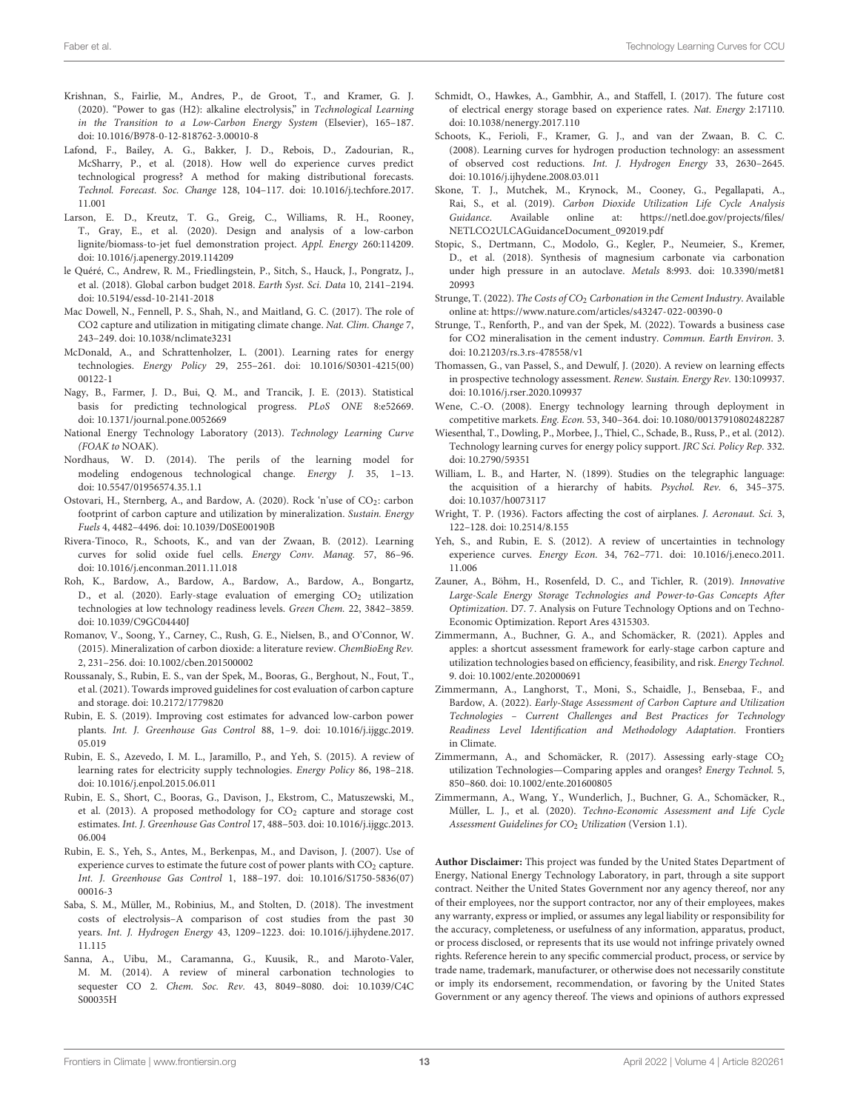- <span id="page-12-23"></span>Krishnan, S., Fairlie, M., Andres, P., de Groot, T., and Kramer, G. J. (2020). "Power to gas (H2): alkaline electrolysis," in Technological Learning in the Transition to a Low-Carbon Energy System (Elsevier), 165–187. doi: [10.1016/B978-0-12-818762-3.00010-8](https://doi.org/10.1016/B978-0-12-818762-3.00010-8)
- <span id="page-12-36"></span>Lafond, F., Bailey, A. G., Bakker, J. D., Rebois, D., Zadourian, R., McSharry, P., et al. (2018). How well do experience curves predict technological progress? A method for making distributional forecasts. Technol. Forecast. Soc. Change [128, 104–117. doi: 10.1016/j.techfore.2017.](https://doi.org/10.1016/j.techfore.2017.11.001) 11.001
- <span id="page-12-26"></span>Larson, E. D., Kreutz, T. G., Greig, C., Williams, R. H., Rooney, T., Gray, E., et al. (2020). Design and analysis of a low-carbon lignite/biomass-to-jet fuel demonstration project. Appl. Energy 260:114209. doi: [10.1016/j.apenergy.2019.114209](https://doi.org/10.1016/j.apenergy.2019.114209)
- <span id="page-12-27"></span>le Quéré, C., Andrew, R. M., Friedlingstein, P., Sitch, S., Hauck, J., Pongratz, J., et al. (2018). Global carbon budget 2018. Earth Syst. Sci. Data 10, 2141–2194. doi: [10.5194/essd-10-2141-2018](https://doi.org/10.5194/essd-10-2141-2018)
- <span id="page-12-0"></span>Mac Dowell, N., Fennell, P. S., Shah, N., and Maitland, G. C. (2017). The role of CO2 capture and utilization in mitigating climate change. Nat. Clim. Change 7, 243–249. doi: [10.1038/nclimate3231](https://doi.org/10.1038/nclimate3231)
- <span id="page-12-12"></span>McDonald, A., and Schrattenholzer, L. (2001). Learning rates for energy technologies. Energy Policy [29, 255–261. doi: 10.1016/S0301-4215\(00\)](https://doi.org/10.1016/S0301-4215(00)00122-1) 00122-1
- <span id="page-12-35"></span>Nagy, B., Farmer, J. D., Bui, Q. M., and Trancik, J. E. (2013). Statistical basis for predicting technological progress. PLoS ONE 8:e52669. doi: [10.1371/journal.pone.0052669](https://doi.org/10.1371/journal.pone.0052669)
- <span id="page-12-22"></span>National Energy Technology Laboratory (2013). Technology Learning Curve (FOAK to NOAK).
- <span id="page-12-17"></span>Nordhaus, W. D. (2014). The perils of the learning model for modeling endogenous technological change. Energy J. 35, 1–13. doi: [10.5547/01956574.35.1.1](https://doi.org/10.5547/01956574.35.1.1)
- <span id="page-12-29"></span>Ostovari, H., Sternberg, A., and Bardow, A. (2020). Rock 'n'use of CO<sub>2</sub>: carbon footprint of carbon capture and utilization by mineralization. Sustain. Energy Fuels 4, 4482–4496. doi: [10.1039/D0SE00190B](https://doi.org/10.1039/D0SE00190B)
- <span id="page-12-11"></span>Rivera-Tinoco, R., Schoots, K., and van der Zwaan, B. (2012). Learning curves for solid oxide fuel cells. Energy Conv. Manag. 57, 86–96. doi: [10.1016/j.enconman.2011.11.018](https://doi.org/10.1016/j.enconman.2011.11.018)
- <span id="page-12-1"></span>Roh, K., Bardow, A., Bardow, A., Bardow, A., Bardow, A., Bongartz, D., et al. (2020). Early-stage evaluation of emerging CO<sub>2</sub> utilization technologies at low technology readiness levels. Green Chem. 22, 3842–3859. doi: [10.1039/C9GC04440J](https://doi.org/10.1039/C9GC04440J)
- <span id="page-12-30"></span>Romanov, V., Soong, Y., Carney, C., Rush, G. E., Nielsen, B., and O'Connor, W. (2015). Mineralization of carbon dioxide: a literature review. ChemBioEng Rev. 2, 231–256. doi: [10.1002/cben.201500002](https://doi.org/10.1002/cben.201500002)
- <span id="page-12-6"></span>Roussanaly, S., Rubin, E. S., van der Spek, M., Booras, G., Berghout, N., Fout, T., et al. (2021). Towards improved guidelines for cost evaluation of carbon capture and storage. doi: [10.2172/1779820](https://doi.org/10.2172/1779820)
- <span id="page-12-19"></span>Rubin, E. S. (2019). Improving cost estimates for advanced low-carbon power plants. Int. J. Greenhouse Gas Control [88, 1–9. doi: 10.1016/j.ijggc.2019.](https://doi.org/10.1016/j.ijggc.2019.05.019) 05.019
- <span id="page-12-14"></span>Rubin, E. S., Azevedo, I. M. L., Jaramillo, P., and Yeh, S. (2015). A review of learning rates for electricity supply technologies. Energy Policy 86, 198–218. doi: [10.1016/j.enpol.2015.06.011](https://doi.org/10.1016/j.enpol.2015.06.011)
- <span id="page-12-25"></span>Rubin, E. S., Short, C., Booras, G., Davison, J., Ekstrom, C., Matuszewski, M., et al. (2013). A proposed methodology for  $CO<sub>2</sub>$  capture and storage cost estimates. Int. J. Greenhouse Gas Control [17, 488–503. doi: 10.1016/j.ijggc.2013.](https://doi.org/10.1016/j.ijggc.2013.06.004) 06.004
- <span id="page-12-34"></span>Rubin, E. S., Yeh, S., Antes, M., Berkenpas, M., and Davison, J. (2007). Use of experience curves to estimate the future cost of power plants with  $CO<sub>2</sub>$  capture. Int. J. Greenhouse Gas Control [1, 188–197. doi: 10.1016/S1750-5836\(07\)](https://doi.org/10.1016/S1750-5836(07)00016-3) 00016-3
- <span id="page-12-21"></span>Saba, S. M., Müller, M., Robinius, M., and Stolten, D. (2018). The investment costs of electrolysis–A comparison of cost studies from the past 30 years. Int. J. Hydrogen Energy [43, 1209–1223. doi: 10.1016/j.ijhydene.2017.](https://doi.org/10.1016/j.ijhydene.2017.11.115) 11.115
- <span id="page-12-28"></span>Sanna, A., Uibu, M., Caramanna, G., Kuusik, R., and Maroto-Valer, M. M. (2014). A review of mineral carbonation technologies to sequester CO 2. Chem. Soc. Rev. [43, 8049–8080. doi: 10.1039/C4C](https://doi.org/10.1039/C4CS00035H) S00035H
- <span id="page-12-18"></span>Schmidt, O., Hawkes, A., Gambhir, A., and Staffell, I. (2017). The future cost of electrical energy storage based on experience rates. Nat. Energy 2:17110. doi: [10.1038/nenergy.2017.110](https://doi.org/10.1038/nenergy.2017.110)
- <span id="page-12-20"></span>Schoots, K., Ferioli, F., Kramer, G. J., and van der Zwaan, B. C. C. (2008). Learning curves for hydrogen production technology: an assessment of observed cost reductions. Int. J. Hydrogen Energy 33, 2630–2645. doi: [10.1016/j.ijhydene.2008.03.011](https://doi.org/10.1016/j.ijhydene.2008.03.011)
- <span id="page-12-5"></span>Skone, T. J., Mutchek, M., Krynock, M., Cooney, G., Pegallapati, A., Rai, S., et al. (2019). Carbon Dioxide Utilization Life Cycle Analysis Guidance. Available online at: [https://netl.doe.gov/projects/files/](https://netl.doe.gov/projects/files/NETLCO2ULCAGuidanceDocument_092019.pdf) [NETLCO2ULCAGuidanceDocument\\_092019.pdf](https://netl.doe.gov/projects/files/NETLCO2ULCAGuidanceDocument_092019.pdf)
- <span id="page-12-32"></span>Stopic, S., Dertmann, C., Modolo, G., Kegler, P., Neumeier, S., Kremer, D., et al. (2018). Synthesis of magnesium carbonate via carbonation [under high pressure in an autoclave.](https://doi.org/10.3390/met8120993) Metals 8:993. doi: 10.3390/met81 20993
- <span id="page-12-31"></span>Strunge, T. (2022). The Costs of  $CO<sub>2</sub>$  Carbonation in the Cement Industry. Available online at:<https://www.nature.com/articles/s43247-022-00390-0>
- <span id="page-12-33"></span>Strunge, T., Renforth, P., and van der Spek, M. (2022). Towards a business case for CO2 mineralisation in the cement industry. Commun. Earth Environ. 3. doi: [10.21203/rs.3.rs-478558/v1](https://doi.org/10.21203/rs.3.rs-478558/v1)
- <span id="page-12-7"></span>Thomassen, G., van Passel, S., and Dewulf, J. (2020). A review on learning effects in prospective technology assessment. Renew. Sustain. Energy Rev. 130:109937. doi: [10.1016/j.rser.2020.109937](https://doi.org/10.1016/j.rser.2020.109937)
- <span id="page-12-16"></span>Wene, C.-O. (2008). Energy technology learning through deployment in competitive markets. Eng. Econ. 53, 340–364. doi: [10.1080/00137910802482287](https://doi.org/10.1080/00137910802482287)
- <span id="page-12-13"></span>Wiesenthal, T., Dowling, P., Morbee, J., Thiel, C., Schade, B., Russ, P., et al. (2012). Technology learning curves for energy policy support. JRC Sci. Policy Rep. 332. doi: [10.2790/59351](https://doi.org/10.2790/59351)
- <span id="page-12-8"></span>William, L. B., and Harter, N. (1899). Studies on the telegraphic language: the acquisition of a hierarchy of habits. Psychol. Rev. 6, 345–375. doi: [10.1037/h0073117](https://doi.org/10.1037/h0073117)
- <span id="page-12-9"></span>Wright, T. P. (1936). Factors affecting the cost of airplanes. J. Aeronaut. Sci. 3, 122–128. doi: [10.2514/8.155](https://doi.org/10.2514/8.155)
- <span id="page-12-15"></span>Yeh, S., and Rubin, E. S. (2012). A review of uncertainties in technology experience curves. Energy Econ. [34, 762–771. doi: 10.1016/j.eneco.2011.](https://doi.org/10.1016/j.eneco.2011.11.006) 11.006
- <span id="page-12-10"></span>Zauner, A., Böhm, H., Rosenfeld, D. C., and Tichler, R. (2019). Innovative Large-Scale Energy Storage Technologies and Power-to-Gas Concepts After Optimization. D7. 7. Analysis on Future Technology Options and on Techno-Economic Optimization. Report Ares 4315303.
- <span id="page-12-24"></span>Zimmermann, A., Buchner, G. A., and Schomäcker, R. (2021). Apples and apples: a shortcut assessment framework for early-stage carbon capture and utilization technologies based on efficiency, feasibility, and risk. Energy Technol. 9. doi: [10.1002/ente.202000691](https://doi.org/10.1002/ente.202000691)
- <span id="page-12-2"></span>Zimmermann, A., Langhorst, T., Moni, S., Schaidle, J., Bensebaa, F., and Bardow, A. (2022). Early-Stage Assessment of Carbon Capture and Utilization Technologies – Current Challenges and Best Practices for Technology Readiness Level Identification and Methodology Adaptation. Frontiers in Climate.
- <span id="page-12-3"></span>Zimmermann, A., and Schomäcker, R. (2017). Assessing early-stage CO<sub>2</sub> utilization Technologies—Comparing apples and oranges? Energy Technol. 5, 850–860. doi: [10.1002/ente.201600805](https://doi.org/10.1002/ente.201600805)
- <span id="page-12-4"></span>Zimmermann, A., Wang, Y., Wunderlich, J., Buchner, G. A., Schomäcker, R., Müller, L. J., et al. (2020). Techno-Economic Assessment and Life Cycle Assessment Guidelines for CO<sub>2</sub> Utilization (Version 1.1).

**Author Disclaimer:** This project was funded by the United States Department of Energy, National Energy Technology Laboratory, in part, through a site support contract. Neither the United States Government nor any agency thereof, nor any of their employees, nor the support contractor, nor any of their employees, makes any warranty, express or implied, or assumes any legal liability or responsibility for the accuracy, completeness, or usefulness of any information, apparatus, product, or process disclosed, or represents that its use would not infringe privately owned rights. Reference herein to any specific commercial product, process, or service by trade name, trademark, manufacturer, or otherwise does not necessarily constitute or imply its endorsement, recommendation, or favoring by the United States Government or any agency thereof. The views and opinions of authors expressed